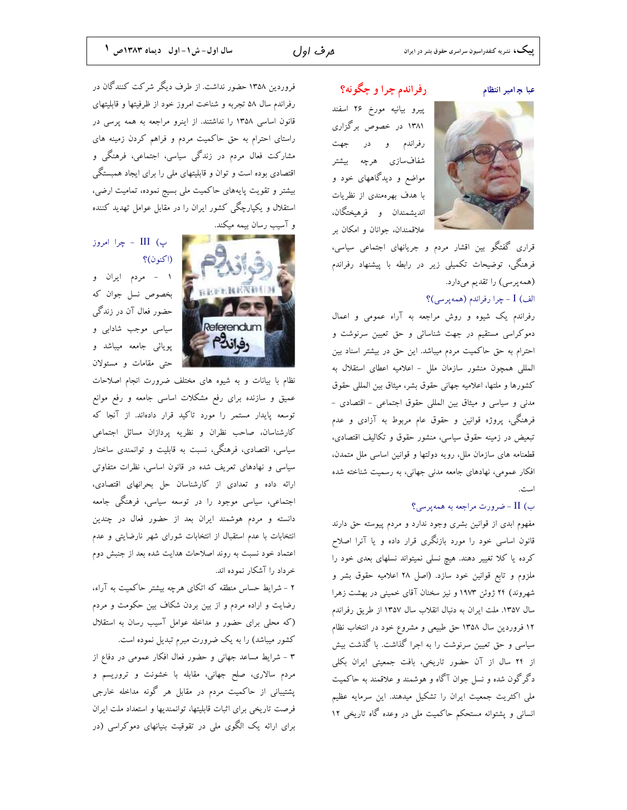#### عبا چامیر انتظام

رفراندم چرا و چگونه؟ پیرو بیانیه مورخ ۲۶ اسفند ۱۳۸۱ در خصوص برگزاری رفراندم و در جهت شفافسازى هرچه بيشتر مواضع و دیدگاههای خود و با هدف بهرهمندی از نظریات انديشمندان و فرهيختگان، علاقمندان، جوانان و امکان بر

قراری گفتگو بین اقشار مردم و جریانهای اجتماعی سیاسی، فرهنگی، توضیحات تکمیلی زیر در رابطه با پیشنهاد رفراندم (همهپرسی) را تقدیم میدارد. الف) I - چرا رفراندم (همه پرسی)؟

رفراندم یک شیوه و روش مراجعه به آراء عمومی و اعمال دموکراسی مستقیم در جهت شناسائی و حق تعیین سرنوشت و احترام به حق حاکمیت مردم میباشد. این حق در بیشتر اسناد بین المللي همچون منشور سازمان ملل - اعلاميه اعطاى استقلال به كشورها و ملتها، اعلاميه جهاني حقوق بشر، ميثاق بين المللي حقوق مدنی و سیاسی و میثاق بین المللی حقوق اجتماعی - اقتصادی -فرهنگی، پروژه قوانین و حقوق عام مربوط به آزادی و عدم تبعیض در زمینه حقوق سیاسی، منشور حقوق و تکالیف اقتصادی، قطعنامه های سازمان ملل، رویه دولتها و قوانین اساسی ملل متمدن، افکار عمومی، نهادهای جامعه مدنی جهانی، به رسمیت شناخته شده امدت

### ب) II - ضرورت مراجعه به همه پرسی؟

مفهوم ابدی از قوانین بشری وجود ندارد و مردم پیوسته حق دارند .<br>قانون اساسی خود را مورد بازنگری قرار داده و یا آنرا اصلاح کرده یا کلا تغییر دهند. هیچ نسلی نمیتواند نسلهای بعدی خود را ملزوم و تابع قوانین خود سازد. (اصل ۲۸ اعلامیه حقوق بشر و شهروند) ۲۴ ژوئن ۱۹۷۳ و نیز سخنان آقای خمینی در بهشت زهرا سال ١٣٥٧. ملت ايران به دنبال انقلاب سال ١٣٥٧ از طريق رفراندم ۱۲ فروردین سال ۱۳۵۸ حق طبیعی و مشروع خود در انتخاب نظام سیاسی و حق تعیین سرنوشت را به اجرا گذاشت. با گذشت بیش از ۲۴ سال از آن حضور تاریخی، بافت جمعیتی ایران بکلی دگرگون شده و نسل جوان آگاه و هوشمند و علاقمند به حاکمیت ملی اکثریت جمعیت ایران را تشکیل میدهند. این سرمایه عظیم انسانی و پشتوانه مستحکم حاکمیت ملی در وعده گاه تاریخی ۱۲

فروردین ۱۳۵۸ حضور نداشت. از طرف دیگر شرکت کنندگان در رفراندم سال ۵۸ تجربه و شناخت امروز خود از ظرفیتها و قابلیتهای قانون اساسی ۱۳۵۸ را نداشتند. از اینرو مراجعه به همه پرسی در راستای احترام به حق حاکمیت مردم و فراهم کردن زمینه های مشارکت فعال مردم در زندگی سیاسی، اجتماعی، فرهنگی و اقتصادی بوده است و توان و قابلیتهای ملی را برای ایجاد همبستگی بیشتر و تقویت پایههای حاکمیت ملی بسیج نموده، تمامیت ارضی، استقلال و یکپارچگی کشور ایران را در مقابل عوامل تهدید کننده

و آسیب رسان بیمه میکند.



## پ) III - چرا امروز (اکنون)؟

۱ - مردم ایران و بخصوص نسل جوان كه حضور فعال آن در زندگی سیاسی موجب شادابی و پویائی جامعه میباشد و حتى مقامات و مسئولان

نظام با بیانات و به شیوه های مختلف ضرورت انجام اصلاحات عمیق و سازنده برای رفع مشکلات اساسی جامعه و رفع موانع توسعه پایدار مستمر را مورد تاکید قرار دادهاند. از آنجا که كارشناسان، صاحب نظران و نظريه پردازان مسائل اجتماعي سیاسی، اقتصادی، فرهنگی، نسبت به قابلیت و توانمندی ساختار سیاسی و نهادهای تعریف شده در قانون اساسی، نظرات متفاوتی ارائه داده و تعدادي از كارشناسان حل بحرانهاي اقتصادي، اجتماعی، سیاسی موجود را در توسعه سیاسی، فرهنگی جامعه دانسته و مردم هوشمند ایران بعد از حضور فعال در چندین انتخابات با عدم استقبال از انتخابات شورای شهر نارضایتی و عدم اعتماد خود نسبت به روند اصلاحات هدایت شده بعد از جنبش دوم خرداد را آشکار نموده اند.

۲ - شرایط حساس منطقه که اتکای هرچه بیشتر حاکمیت به آراء، رضایت و اراده مردم و از بین بردن شکاف بین حکومت و مردم (که محلی برای حضور و مداخله عوامل آسیب رسان به استقلال کشور میباشد) را به یک ضرورت مبرم تبدیل نموده است.

۳ - شرایط مساعد جهانی و حضور فعال افکار عمومی در دفاع از مردم سالاری، صلح جهانی، مقابله با خشونت و تروریسم و پشتیبانی از حاکمیت مردم در مقابل هر گونه مداخله خارجی فرصت تاریخی برای اثبات قابلیتها، توانمندیها و استعداد ملت ایران برای ارائه یک الگوی ملی در تقوقیت بنیانهای دموکراسی (در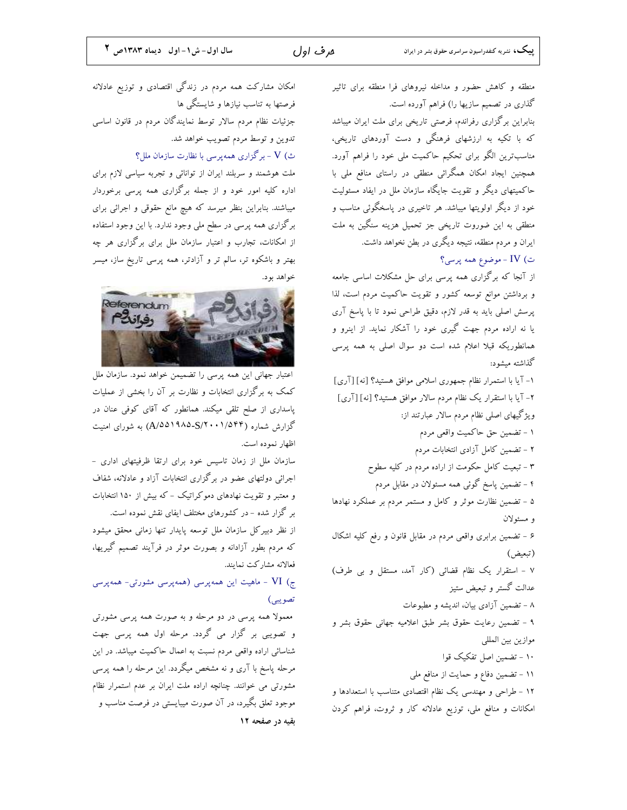**بیبک،** نشریه کنفدراسیون سراسری حقوق بشر در ایران

ھرف اول

منطقه و کاهش حضور و مداخله نیروهای فرا منطقه برای تاثیر گذاری در تصمیم سازیها را) فراهم آورده است. بنابراین برگزاری رفراندم، فرصتی تاریخی برای ملت ایران میباشد که با تکیه به ارزشهای فرهنگی و دست آوردهای تاریخی، مناسبترین الگو برای تحکیم حاکمیت ملی خود را فراهم آورد. همچنین ایجاد امکان همگرائی منطقی در راستای منافع ملی با حاکمیتهای دیگر و تقویت جایگاه سازمان ملل در ایفاد مسئولیت خود از دیگر اولویتها میباشد. هر تاخیری در پاسخگوئی مناسب و منطقی به این ضوروت تاریخی جز تحمیل هزینه سنگین به ملت ایران و مردم منطقه، نتیجه دیگری در بطن نخواهد داشت. ت)  ${\rm IV}$  - موضوع همه پرسی؟ از آنجا که برگزاری همه پرسی برای حل مشکلات اساسی جامعه و برداشتن موانع توسعه كشور و تقويت حاكميت مردم است، لذا پرسش اصلی باید به قدر لازم، دقیق طراحی نمود تا با پاسخ آری یا نه اراده مردم جهت گیری خود را آشکار نماید. از اینرو و همانطوریکه قبلا اعلام شده است دو سوال اصلی به همه پرسی گذاشته میشود: ١- آيا با استمرار نظام جمهوري اسلامي موافق هستيد؟ [نه] [آرى] ۲- آیا با استقرار یک نظام مردم سالار موافق هستید؟ [نه] [آری] ویژگیهای اصلی نظام مردم سالار عبارتند از: ۱ - تضمین حق حاکمیت واقعی مردم ۲ - تضمین کامل آزادی انتخابات مردم ۳ – تبعیت کامل حکومت از اراده مردم در کلیه سطوح ۴ – تضمین پاسخ گوئی همه مسئولان در مقابل مردم ۵ - تضمین نظارت موثر و کامل و مستمر مردم بر عملکرد نهادها و مسئولان ۶ - تضمین برابری واقعی مردم در مقابل قانون و رفع کلیه اشکال (تبعيض) ۷ - استقرار یک نظام قضائی (کار آمد، مستقل و بی طرف) عدالت گستر و تبعیض ستیز ۸ – تضمین آزادی بیان، اندیشه و مطبوعات ۹ - تضمین رعایت حقوق بشر طبق اعلامیه جهانی حقوق بشر و موازين بين المللي ۱۰ - تضمین اصل تفکیک قوا ۱۱ - تضمین دفاع و حمایت از منافع ملی ۱۲ - طراحی و مهندسی یک نظام اقتصادی متناسب با استعدادها و امکانات و منافع ملی، توزیع عادلانه کار و ثروت، فراهم کردن

امکان مشارکت همه مردم در زندگی اقتصادی و توزیع عادلانه فرصتها به تناسب نیازها و شایستگی ها جزئیات نظام مردم سالار توسط نمایندگان مردم در قانون اساسی تدوین و توسط مردم تصویب خواهد شد. ث) V - برگزاری همهپرسی با نظارت سازمان ملل؟

ملت هوشمند و سربلند ایران از توانائی و تجربه سیاسی لازم برای اداره کلیه امور خود و از جمله برگزاری همه پرسی برخوردار میباشند. بنابراین بنظر میرسد که هیچ مانع حقوقی و اجرائی برای برگزاری همه پرسی در سطح ملی وجود ندارد. با این وجود استفاده از امکانات، تجارب و اعتبار سازمان ملل برای برگزاری هر چه بهتر و باشکوه تر، سالم تر و آزادتر، همه پرسی تاریخ ساز، میسر خو اهد بو د.



اعتبار جهانی این همه پرسی را تضمیمن خواهد نمود. سازمان ملل کمک به برگزاری انتخابات و نظارت بر آن را بخشی از عملیات پاسداری از صلح تلقی میکند. همانطور که آقای کوفی عنان در گزارش شماره (A/۵۵۱۹۸۵-S/۲۰۰۱/۵۴۴) به شورای امنیت اظهار نموده است.

سازمان ملل از زمان تاسیس خود برای ارتقا ظرفیتهای اداری -اجرائی دولتهای عضو در برگزاری انتخابات آزاد و عادلانه، شفاف و معتبر و تقویت نهادهای دموکراتیک - که بیش از ۱۵۰ انتخابات بر گزار شده - در کشورهای مختلف ایفای نقش نموده است.

از نظر دبیرکل سازمان ملل توسعه پایدار تنها زمانی محقق میشود که مردم بطور آزادانه و بصورت موثر در فرآیند تصمیم گیریها، فعالانه مشاركت نمايند.

ج) VI - ماهیت این همهپرسی (همهپرسی مشورتی- همهپرسی تصويبي)

معمولا همه پرسی در دو مرحله و به صورت همه پرسی مشورتی و تصویبی بر گزار می گردد. مرحله اول همه پرسی جهت شناسائی اراده واقعی مردم نسبت به اعمال حاکمیت میباشد. در این مرحله پاسخ با آری و نه مشخص میگردد. این مرحله را همه پرسی مشورتی می خوانند. چنانچه اراده ملت ایران بر عدم استمرار نظام موجود تعلق بگیرد، در آن صورت میبایستی در فرصت مناسب و بقیه در صفحه ۱۲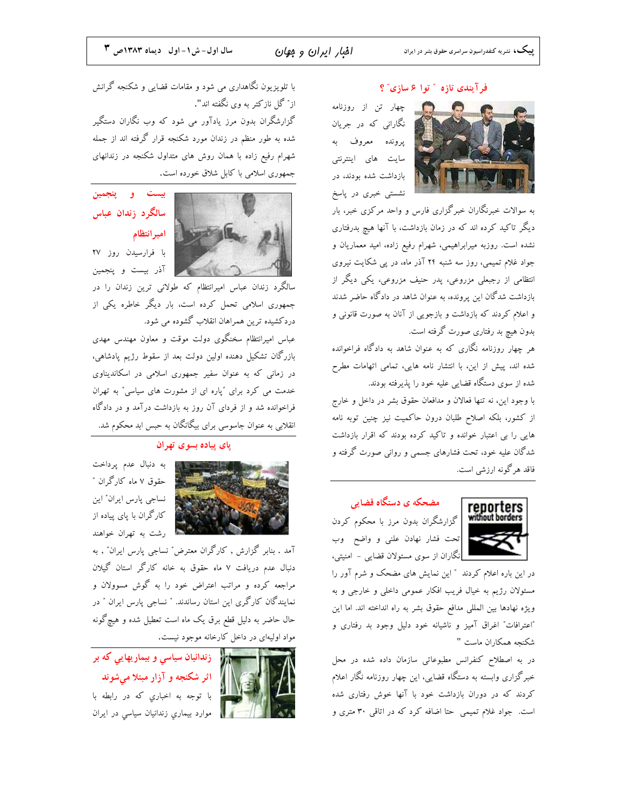### فرآيندي تازه " توا ۶ سازي" ؟

چهار تن از روزنامه نگارانی که در جریان يږونده معروف به سایت های اینترنتی بازداشت شده بودند، در نشستی خبری در پاسخ

به سوالات خبرنگاران خبرگزاری فارس و واحد مرکزی خبر، بار دیگر تاکید کرده اند که در زمان بازداشت، با آنها هیچ بدرفتاری نشده است. روزبه میرابراهیمی، شهرام رفیع زاده، امید معماریان و جواد غلام تمیمی، روز سه شنبه ۲۴ آذر ماه، در پی شکایت نیروی انتظامی از رجبعلی مزروعی، پدر حنیف مزروعی، یکی دیگر از بازداشت شدگان این پرونده، به عنوان شاهد در دادگاه حاضر شدند و اعلام کردند که بازداشت و بازجویی از آنان به صورت قانونی و بدون هیچ بد رفتاری صورت گرفته است.

هر چهار روزنامه نگاری که به عنوان شاهد به دادگاه فراخوانده شده اند، پیش از این، با انتشار نامه هایی، تمامی اتهامات مطرح شده از سوی دستگاه قضایی علیه خود را پذیرفته بودند.

با وجود اين، نه تنها فعالان و مدافعان حقوق بشر در داخل و خارج از کشور، بلکه اصلاح طلبان درون حاکمیت نیز چنین توبه نامه هایی را بی اعتبار خوانده و تاکید کرده بودند که اقرار بازداشت شدگان علیه خود، تحت فشارهای جسمی و روانی صورت گرفته و فاقد هرگونه ارزشی است.



# مضحکه ی دستگاه قضایی

گزارشگران بدون مرز با محکوم کردن تحت فشار نهادن علني و واضح وب <mark>ا</mark> | نگاران از سوی مسئولان قضایی – امنیتی،

در این باره اعلام کردند ″ این نمایش های مضحک و شرم آور را مسئولان رژیم به خیال فریب افکار عمومی داخلی و خارجی و به ويژه نهادها بين المللي مدافع حقوق بشر به راه انداخته اند. اما اين "اعترافات" اغراق آميز و ناشيانه خود دليل وجود بد رفتارى و شكنجه همكاران ماست "

در به اصطلاح کنفرانس مطبوعاتی سازمان داده شده در محل خبرگزاری وابسته به دستگاه قضایی، این چهار روزنامه نگار اعلام کردند که در دوران بازداشت خود با آنها خوش رفتاری شده است. جواد غلام تمیمی حتا اضافه کرد که در اتاقی ۳۰ متری و

با تلویزیون نگاهداری می شود و مقامات قضایی و شکنجه گرانش از" گل نازكتر به وی نگفته اند". گزارشگران بدون مرز یادآور می شود که وب نگاران دستگیر شده به طور منظم در زندان مورد شکنجه قرار گرفته اند از جمله شهرام رفیع زاده با همان روش های متداول شکنجه در زندانهای جمهوری اسلامی با کابل شلاق خورده است.



بیست و پنجمین سالگرد زندان عباس اميرانتظام

با فرارسیدن روز ۲۷ آذر بيست و پنجمين

سالگرد زندان عباس امیرانتظام که طولانی ترین زندان را در جمهوری اسلامی تحمل کرده است، بار دیگر خاطره یکی از دردکشیده ترین همراهان انقلاب گشوده می شود.

عباس امیرانتظام سخنگوی دولت موقت و معاون مهندس مهدی بازرگان تشکیل دهنده اولین دولت بعد از سقوط رژیم پادشاهی، در زمانی که به عنوان سفیر جمهوری اسلامی در اسکاندیناوی خدمت می کرد برای "پاره ای از مشورت های سیاسی" به تهران فراخوانده شد و از فردای آن روز به بازداشت درآمد و در دادگاه انقلابی به عنوان جاسوسی برای بیگانگان به حبس ابد محکوم شد.

## یای پیاده بسوی تهران



به دنبال عدم پرداخت حقوق ۷ ماه کارگران ″ نساجي يارس ايران" اين کارگران با پای پیاده از م از شت به تهران خواهند

آمد . بنابر گزارش , کارگران معترض" نساجی پارس ایران" , به دنبال عدم دریافت ۷ ماه حقوق به خانه کارگر استان گیلان مراجعه کرده و مراتب اعتراض خود را به گوش مسوولان و نمایندگان کارگری این استان رساندند. " نساجی پارس ایران " در حال حاضر به دلیل قطع برق یک ماه است تعطیل شده و هیچگونه مواد اولیهای در داخل کارخانه موجود نیست.



اثر شکنجه و آزار مبتلا میشوند با توجه به اخباري كه در رابطه با موارد بیماري زندانیان سیاسی در ایران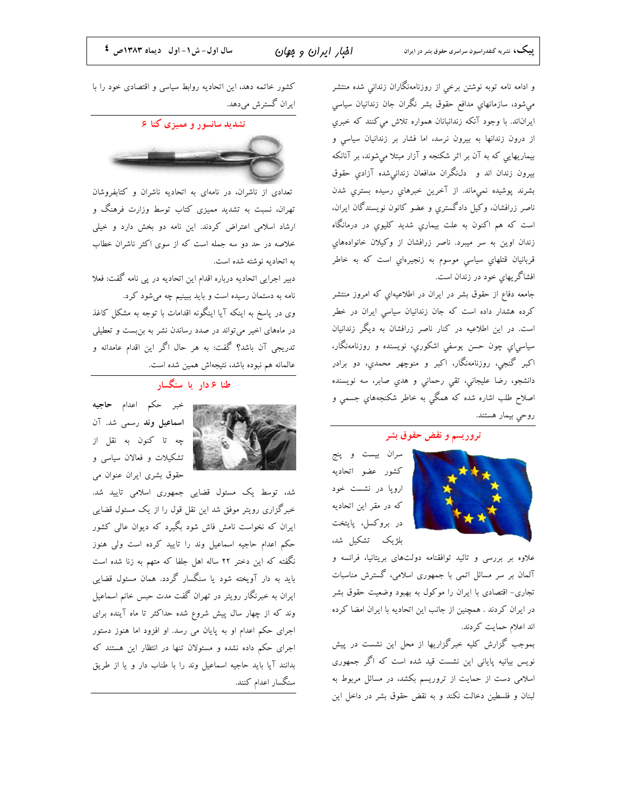و ادامه نامه توبه نوشتن برخی از روزنامهنگاران زندانی شده منتشر میشود، سازمانهایِ مدافع حقوق بشر نگران جان زندانیان سیاسی ایراناند. با وجود آنکه زندانبانان همواره تلاش می کنند که خبری از درون زندانها به بیرون نرسد، اما فشار بر زندانیان سیاسی و بیماریهایی که به آن بر اثر شکنجه و آزار مبتلا میشوند، بر آنانکه بیرون زندان اند و دل،نگران مدافعان زندانیشده آزادی حقوق بشرند پوشيده نمىماند. از آخرين خبرهاي رسيده بستري شدن ناصر زرافشان، وكيل دادگسترى و عضو كانون نويسندگان ايران، است که هم اکنون به علت بیماری شدید کلیوی در درمانگاه زندان اوین به سر میبرد. ناصر زرافشان از وکیلان خانوادههای قربانیان قتلهای سیاسی موسوم به زنجیرهاي است که به خاطر افشاگریهای خود در زندان است.

جامعه دفاع از حقوق بشر در ایران در اطلاعیهای که امروز منتشر کرده هشدار داده است که جان زندانیان سیاسی ایران در خطر است. در این اطلاعیه در کنار ناصر زرافشان به دیگر زندانیان سياسي|ي چون حسن يوسفي اشكوري، نويسنده و روزنامەنگار، اکبر گنجی، روزنامهنگار، اکبر و منوچهر محمدي، دو برادر دانشجو، رضا عليجاني، تقى رحمانى و هدي صابر، سه نويسنده اصلاح طلب اشاره شده که همگی به خاطر شکنجههایِ جسمی و روحي بيمار هستند.

#### تروريسم و نقض حقوق بشر

سران بیست و پنج كشور عضو اتحاديه اروپا در نشست خود که در مقر این اتحادیه در بروكسل، پايتخت بلژیک تشکیل شد،

علاوه بر بررسی و تائید توافقنامه دولتهای بریتانیا، فرانسه و آلمان بر سر مسائل اتمی با جمهوری اسلامی، گسترش مناسبات تجاری- اقتصادی با ایران را موکول به بهبود وضعیت حقوق بشر در ایران کردند . همچنین از جانب این اتحادیه با ایران امضا کرده اند اعلام حمایت کردند.

بموجب گزارش کلیه خبرگزاریها از محل این نشست در پیش نویس بیانیه پایانی این نشست قید شده است که اگر جمهوری اسلامی دست از حمایت از تروریسم بکشد، در مسائل مربوط به لبنان و فلسطین دخالت نکند و به نقض حقوق بشر در داخل این

كشور خاتمه دهد، اين اتحاديه روابط سياسي و اقتصادي خود را با ایران گسترش میدهد.

تشدید سانسور و ممیزی کتا ۶



تعدادی از ناشران، در نامهای به اتحادیه ناشران و کتابفروشان تهران، نسبت به تشدید ممیزی کتاب توسط وزارت فرهنگ و ارشاد اسلامی اعتراض کردند. این نامه دو بخش دارد و خیلی خلاصه در حد دو سه جمله است که از سوی اکثر ناشران خطاب به اتحادیه نوشته شده است.

دبیر اجرایی اتحادیه درباره اقدام این اتحادیه در پی نامه گفت: فعلا نامه به دستمان رسیده است و باید ببینیم چه میشود کرد.

وی در پاسخ به اینکه آیا اینگونه اقدامات با توجه به مشکل کاغذ در ماههای اخیر میتواند در صدد رساندن نشر به بن بست و تعطیلی تدریجی آن باشد؟ گفت: به هر حال اگر این اقدام عامدانه و عالمانه هم نبوده باشد، نتيجهاش همين شده است.

# طنا ۶ دار یا سنگسار



خبر حکم اعدام **حاجیه** اسماعیل وند رسمی شد. آن چه تا کنون به نقل از تشکیلات و فعالان سیاسی و حقوق بشرى ايران عنوان مى

شد، توسط یک مسئول قضایی جمهوری اسلامی تایید شد. خبرگزاری رویتر موفق شد این نقل قول را از یک مسئول قضایی ایران که نخواست نامش فاش شود بگیرد که دیوان عالی کشور حکم اعدام حاجیه اسماعیل وند را تایید کرده است ولی هنوز نگفته که این دختر ۲۲ ساله اهل جلفا که متهم به زنا شده است باید به دار آویخته شود یا سنگسار گردد. همان مسئول قضایی ایران به خبرنگار رویتر در تهران گفت مدت حبس خانم اسماعیل وند که از چهار سال پیش شروع شده حداکثر تا ماه آینده برای اجرای حکم اعدام او به پایان می رسد. او افزود اما هنوز دستور اجرای حکم داده نشده و مسئولان تنها در انتظار این هستند که بدانند آيا بايد حاجيه اسماعيل وند را با طناب دار و يا از طريق سنگسار اعدام کنند.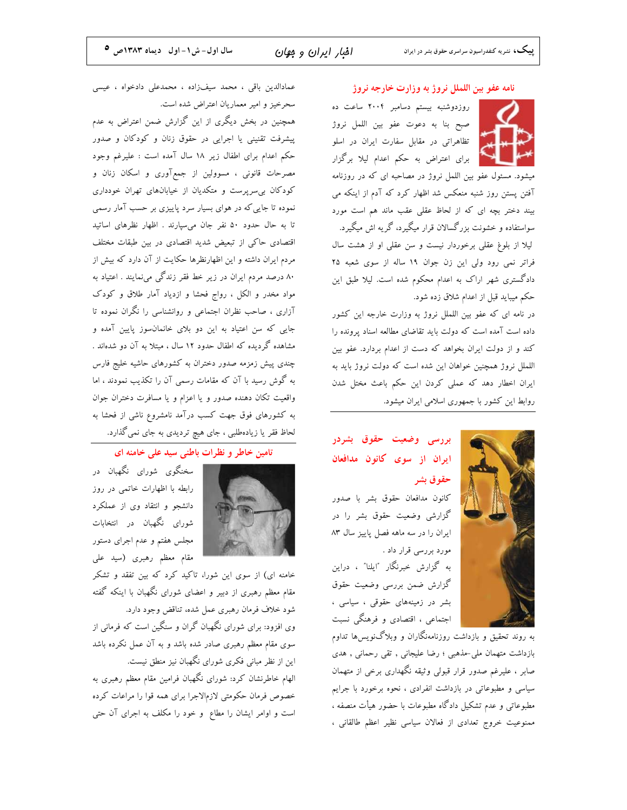#### نامه عفو بين اللملل نروژ به وزارت خارجه نروژ

روزدوشنبه بیستم دسامبر ۲۰۰۴ ساعت ده صبح بنا به دعوت عفو بين اللمل نروژ تظاهراتی در مقابل سفارت ایران در اسلو برای اعتراض به حکم اعدام لیلا برگزار

میشود. مسئول عفو بین اللمل نروژ در مصاحبه ای که در روزنامه آفتن پستن روز شنبه منعکس شد اظهار کرد که آدم از اینکه می بیند دختر بچه ای که از لحاظ عقلی عقب ماند هم است مورد سواستفاده و خشونت بزرگسالان قرار میگیرد، گریه اش میگیرد. لیلا از بلوغ عقلی برخوردار نیست و سن عقلی او از هشت سال فراتر نمی رود ولی این زن جوان ۱۹ ساله از سوی شعبه ۲۵ دادگستری شهر اراک به اعدام محکوم شده است. لیلا طبق این حکم میباید قبل از اعدام شلاق زده شود.

در نامه ای که عفو بین اللملل نروژ به وزارت خارجه این کشور داده است آمده است که دولت باید تقاضای مطالعه اسناد پرونده را کند و از دولت ایران بخواهد که دست از اعدام بردارد. عفو بین اللملل نروژ همچنین خواهان این شده است که دولت نروژ باید به ایران اخطار دهد که عملی کردن این حکم باعث مختل شدن روابط این کشور با جمهوری اسلامی ایران میشود.



# بررسی وضعیت حقوق بشردر ایران از سوی کانون مدافعان حقوق بشر

كانون مدافعان حقوق بشر با صدور گزارشی وضعیت حقوق بشر را در ایران را در سه ماهه فصل پاییز سال ۸۳ مورد بررسی قرار داد .

به گزارش خبرنگار "ایلنا" ، دراین گزارش ضمن بررسی وضعیت حقوق بشر در زمینههای حقوقی ، سیاسی ، اجتماعی ، اقتصادی و فرهنگی نسبت

به روند تحقیق و بازداشت روزنامهنگاران و وبلاگنویسها تداوم بازداشت متهمان ملی-مذهبی ؛ رضا علیجانی , تقی رحمانی , هدی صابر ، علیرغم صدور قرار قبولی وثیقه نگهداری برخی از متهمان سیاسی و مطبوعاتی در بازداشت انفرادی ، نحوه برخورد با جرایم مطبوعاتی و عدم تشکیل دادگاه مطبوعات با حضور هیأت منصفه ، ممنوعیت خروج تعدادی از فعالان سیاسی نظیر اعظم طالقانی ،

عمادالدین باقی ، محمد سیفزاده ، محمدعلی دادخواه ، عیسی سحرخیز و امیر معماریان اعتراض شده است.

همچنین در بخش دیگری از این گزارش ضمن اعتراض به عدم پیشرفت تقنینی یا اجرایی در حقوق زنان و کودکان و صدور حکم اعدام برای اطفال زیر ۱۸ سال آمده است : علیرغم وجود مصرحات قانونی ، مسوولین از جمعآوری و اسکان زنان و کودکان بی سرپرست و متکدیان از خیابانهای تهران خودداری نموده تا جایی که در هوای بسیار سرد پاییزی بر حسب آمار رسمی تا به حال حدود ۵۰ نفر جان می سپارند . اظهار نظرهای اساتید اقتصادی حاکی از تبعیض شدید اقتصادی در بین طبقات مختلف مردم ایران داشته و این اظهارنظرها حکایت از آن دارد که بیش از ۸۰ درصد مردم ایران در زیر خط فقر زندگی مینمایند . اعتیاد به مواد مخدر و الکل ، رواج فحشا و ازدیاد آمار طلاق و کودک آزاری ، صاحب نظران اجتماعی و روانشناسی را نگران نموده تا جایی که سن اعتیاد به این دو بلای خانمان سوز پایین آمده و مشاهده گردیده که اطفال حدود ۱۲ سال ، مبتلا به آن دو شدهاند . چندی پیش زمزمه صدور دختران به کشورهای حاشیه خلیج فارس به گوش رسید با آن که مقامات رسمی آن را تکذیب نمودند ، اما واقعیت تکان دهنده صدور و یا اعزام و یا مسافرت دختران جوان به کشورهای فوق جهت کسب درآمد نامشروع ناشی از فحشا به لحاظ فقر یا زیادهطلبی ، جای هیچ تردیدی به جای نمی گذارد.

### تامین خاطر و نظرات باطنی سید علی خامنه ای



سخنگوی شورای نگهبان در رابطه با اظهارات خاتمی در روز دانشجو و انتقاد وی از عملکرد شورای نگهبان در انتخابات مجلس هفتم و عدم اجرای دستور مقام معظم رهبری (سید علی

خامنه ای) از سوی این شورا، تاکید کرد که بین تفقد و تشکر مقام معظم رهبری از دبیر و اعضای شورای نگهبان با اینکه گفته شود خلاف فرمان رهبرى عمل شده، تناقض وجود دارد.

وی افزود: برای شورای نگهبان گران و سنگین است که فرمانی از سوی مقام معظم رهبری صادر شده باشد و به آن عمل نکرده باشد این از نظر مبانی فکری شورای نگهبان نیز منطق نیست.

الهام خاطرنشان کرد: شورای نگهبان فرامین مقام معظم رهبری به خصوص فرمان حکومتی لازم|لاجرا برای همه قوا را مراعات کرده است و اوامر ایشان را مطاع و خود را مکلف به اجرای آن حتی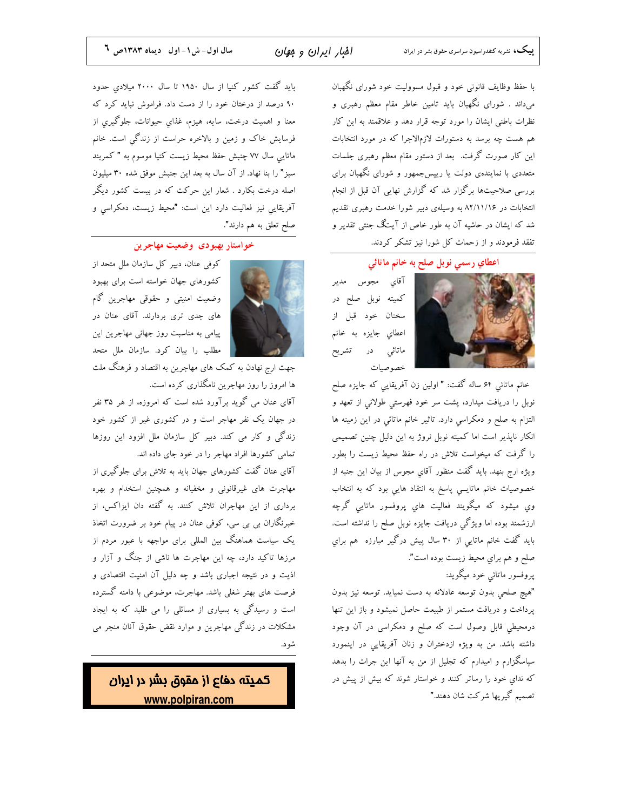با حفظ وظایف قانونی خود و قبول مسوولیت خود شورای نگهبان میداند . شورای نگهبان باید تامین خاطر مقام معظم رهبری و نظرات باطنی ایشان را مورد توجه قرار دهد و علاقمند به این کار هم هست چه برسد به دستورات لازم|لاجرا که در مورد انتخابات این کار صورت گرفت. بعد از دستور مقام معظم رهبری جلسات متعددی با نمایندهی دولت یا رییسجمهور و شورای نگهبان برای بررسی صلاحیتها برگزار شد که گزارش نهایی آن قبل از انجام انتخابات در ۸۲/۱۱/۱۶ به وسیلهی دبیر شورا خدمت رهبری تقدیم شد که ایشان در حاشیه آن به طور خاص از آیتگ جنتی تقدیر و تفقد فرمودند و از زحمات کل شورا نیز تشکر کردند.

اعطاي رسمي نوبل صلح به خانم ماتائي

آقاي مجوس مدير کمیته نوبل صلح در سخنان خود قبل از اعطاي جايزه به خانم ماتائي در تشريح خصوصيات

خانم ماتائی ۶۴ ساله گفت: " اولین زن آفریقایی که جایزه صلح نوبل را دریافت میدارد، پشت سر خود فهرستی طولانی از تعهد و التزام به صلح و دمکراسی دارد. تاثیر خانم ماتائی در این زمینه ها انکار ناپذیر است اما کمیته نوبل نروژ به این دلیل چنین تصمیمی را گرفت که میخواست تلاش در راه حفظ محیط زیست را بطور ویژه ارج بنهد. باید گفت منظور آقایِ مجوس از بیان این جنبه از خصوصیات خانم ماتایــی پاسخ به انتقاد هایی بود که به انتخاب وی میشود که میگویند فعالیت های پروفسور ماتایی گرچه ارزشمند بوده اما ویژگی دریافت جایزه نوبل صلح را نداشته است. باید گفت خانم ماتایی از ۳۰ سال پیش درگیر مبارزه ًهم برای صلح و هم براي محيط زيست بوده است". پروفسور ماتائی خود میگوید:

"هيچ صلحى بدون توسعه عادلانه به دست نميايد. توسعه نيز بدون پرداخت و دریافت مستمر از طبیعت حاصل نمیشود و باز این تنها درمحیطی قابل وصول است که صلح و دمکراسی در آن وجود داشته باشد. من به ویژه ازدختران و زنان آفریقایی در اینمورد سپاسگزارم و امیدارم که تجلیل از من به آنها این جرات را بدهد که ندای خود را رساتر کنند و خواستار شوند که بیش از پیش در تصمیم گیریها شرکت شان دهند."

باید گفت کشور کنیا از سال ۱۹۵۰ تا سال ۲۰۰۰ میلادی حدود ۹۰ درصد از درختان خود را از دست داد. فراموش نباید کرد که معنا و اهميت درخت، سايه، هيزم، غذاي حيوانات، جلوگيري از فرسایش خاک و زمین و بالاخره حراست از زندگی است. خانم ماتایی سال ۷۷ چنبش حفظ محیط زیست کنیا موسوم به "کمربند سبز" را بنا نهاد. از آن سال به بعد این جنبش موفق شده ۳۰ میلیون اصله درخت بکارد . شعار این حرکت که در بیست کشور دیگر آفریقایی نیز فعالیت دارد این است: "محیط زیست، دمکراسی و صلح تعلق به هم دارند".

### خواستار بهبودى وضعيت مهاجرين



کوفی عنان، دبیر کل سازمان ملل متحد از کشورهای جهان خواسته است برای بهبود وضعیت امنیتی و حقوقی مهاجرین گام های جدی تری بردارند. آقای عنان در پیامی به مناسبت روز جهانی مهاجرین این مطلب را بیان کرد. سازمان ملل متحد

جهت ارج نهادن به کمک های مهاجرین به اقتصاد و فرهنگ ملت ها امروز را روز مهاجرین نامگذاری کرده است.

آقای عنان می گوید برآورد شده است که امروزه، از هر ۳۵ نفر در جهان یک نفر مهاجر است و در کشوری غیر از کشور خود زندگی و کار می کند. دبیر کل سازمان ملل افزود این روزها تمامی کشورها افراد مهاجر را در خود جای داده اند.

آقای عنان گفت کشورهای جهان باید به تلاش برای جلوگیری از مهاجرت های غیرقانونی و مخفیانه و همچنین استخدام و بهره برداری از این مهاجران تلاش کنند. به گفته دان ایزاکس، از خبرنگاران بی بی سی، کوفی عنان در پیام خود بر ضرورت اتخاذ یک سیاست هماهنگ بین المللی برای مواجهه با عبور مردم از مرزها تاکید دارد، چه این مهاجرت ها ناشی از جنگ و آزار و اذیت و در نتیجه اجباری باشد و چه دلیل آن امنیت اقتصادی و فرصت های بهتر شغلی باشد. مهاجرت، موضوعی با دامنه گسترده است و رسیدگی به بسیاری از مسائلی را می طلبد که به ایجاد مشکلات در زندگی مهاجرین و موارد نقض حقوق آنان منجر می شود.

كميته دفاع از مقوق <mark>بشر در ايران</mark> www.polpiran.com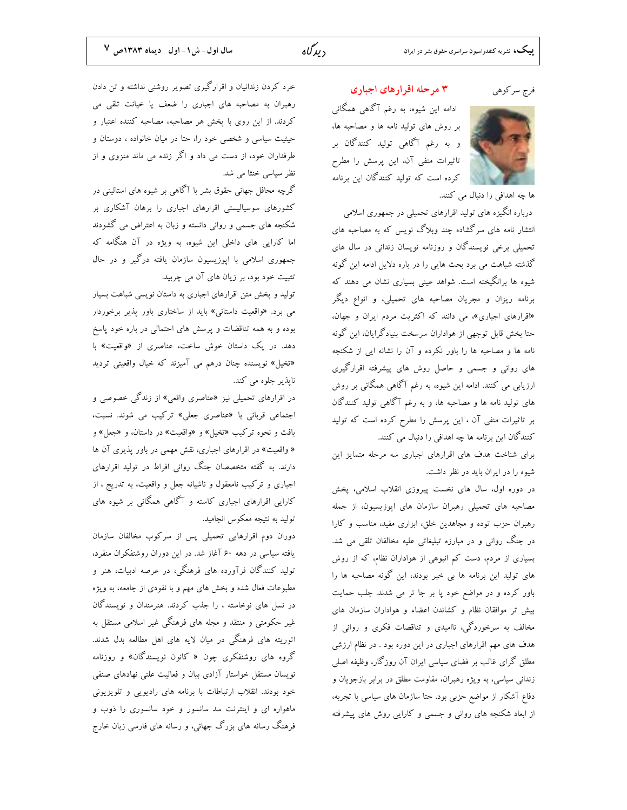دىدگاە

فرج سركوهي

ادامه این شیوه، به رغم آگاهی همگانی بر روش های تولید نامه ها و مصاحبه ها، و به رغم آگاهی تولید کنندگان بر تاثیرات منفی آن، این پرسش را مطرح کرده است که تولید کنندگان این برنامه

۳ مرحله اقرارهای اجباری

ها چه اهدافی را دنبال می کنند. درباره انگیزه های تولید اقرارهای تحمیلی در جمهوری اسلامی انتشار نامه های سرگشاده چند وبلاگ نویس که به مصاحبه های تحمیلی برخی نویسندگان و روزنامه نویسان زندانی در سال های گذشته شباهت می برد بحث هایی را در باره دلایل ادامه این گونه شیوه ها برانگیخته است. شواهد عینی بسیاری نشان می دهند که برنامه ریزان و مجریان مصاحبه های تحمیلی، و انواع دیگر «اقرارهای اجباری»، می دانند که اکثریت مردم ایران و جهان، حتا بخش قابل توجهي از هواداران سرسخت بنيادگرايان، اين گونه نامه ها و مصاحبه ها را باور نکرده و آن را نشانه ایی از شکنجه های روانی و جسمی و حاصل روش های پیشرفته اقرارگیری ارزیابی می کنند. ادامه این شیوه، به رغم آگاهی همگانی بر روش های تولید نامه ها و مصاحبه ها، و به رغم آگاهی تولید کنندگان بر تاثیرات منفی آن ، این پرسش را مطرح کرده است که تولید کنندگان این برنامه ها چه اهدافی را دنبال می کنند.

برای شناخت هدف های اقرارهای اجباری سه مرحله متمایز این شیوه را در ایران باید در نظر داشت.

در دوره اول، سال های نخست پیروزی انقلاب اسلامی، پخش مصاحبه های تحمیلی رهبران سازمان های اپوزیسیون، از جمله رهبران حزب توده و مجاهدین خلق، ابزاری مفید، مناسب و کارا در جنگ روانی و در مبارزه تبلیغاتی علیه مخالفان تلقی می شد. بسیاری از مردم، دست کم انبوهی از هواداران نظام، که از روش های تولید این برنامه ها بی خبر بودند، این گونه مصاحبه ها را باور کرده و در مواضع خود پا بر جا تر می شدند. جلب حمایت بیش تر موافقان نظام و کشاندن اعضاء و هواداران سازمان های مخالف به سرخوردگی، ناامیدی و تناقصات فکری و روانی از هدف های مهم اقرارهای اجباری در این دوره بود . در نظام ارزشی مطلق گرای غالب بر فضای سیاسی ایران آن روزگار، وظیفه اصلی زندانی سیاسی، به ویژه رهبران، مقاومت مطلق در برابر بازجویان و دفاع آشکار از مواضع حزبی بود. حتا سازمان های سیاسی با تجربه، از ابعاد شکنجه های روانی و جسمی و کارایی روش های پیشرفته

خرد کردن زندانیان و اقرارگیری تصویر روشنی نداشته و تن دادن رهبران به مصاحبه های اجباری را ضعف یا خیانت تلقی می کردند. از این روی با پخش هر مصاحبه، مصاحبه کننده اعتبار و حیثیت سیاسی و شخصی خود را، حتا در میان خانواده ، دوستان و طرفداران خود، از دست می داد و اگر زنده می ماند منزوی و از نظر سیاسی خنثا می شد.

گرچه محافل جهانی حقوق بشر با آگاهی بر شیوه های استالینی در کشورهای سوسیالیستی اقرارهای اجباری را برهان آشکاری بر شکنجه های جسمی و روانی دانسته و زبان به اعتراض می گشودند اما کارایی های داخلی این شیوه، به ویژه در آن هنگامه که جمهوری اسلامی با اپوزیسیون سازمان یافته درگیر و در حال تثبیت خود بود، بر زیان های آن می چربید.

تولید و پخش متن اقرارهای اجباری به داستان نویسی شباهت بسیار می برد. «واقعیت داستانی» باید از ساختاری باور پذیر برخوردار بوده و به همه تناقضات و پرسش های احتمالی در باره خود پاسخ دهد. در یک داستان خوش ساخت، عناصری از «واقعیت» با «تخیل» نویسنده چنان درهم می آمیزند که خیال واقعیتی تردید ناپذیر جلوه می کند.

در اقرارهای تحمیلی نیز «عناصری واقعی» از زندگی خصوصی و اجتماعی قربانی با «عناصری جعلی» ترکیب می شوند. نسبت، بافت و نحوه تركيب «تخيل» و «واقعيت» در داستان، و «جعل» و « واقعیت» در اقرارهای اجباری، نقش مهمی در باور پذیری آن ها دارند. به گفته متخصصان جنگ روانی افراط در تولید اقرارهای اجباری و ترکیب نامعقول و ناشیانه جعل و واقعیت، به تدریج ، از کارایی اقرارهای اجباری کاسته و آگاهی همگانی بر شیوه های توليد به نتيجه معكوس انجاميد.

دوران دوم اقرارهایی تحمیلی پس از سرکوب مخالفان سازمان یافته سیاسی در دهه ۶۰ آغاز شد. در این دوران روشنفکران منفرد، تولید کنندگان فرآورده های فرهنگی، در عرصه ادبیات، هنر و مطبوعات فعال شده و بخش های مهم و با نفودی از جامعه، به ویژه در نسل های نوخاسته ، را جذب کردند. هنرمندان و نویسندگان غیر حکومتی و منتقد و مجله های فرهنگی غیر اسلامی مستقل به اتوریته های فرهنگی در میان لایه های اهل مطالعه بدل شدند. گروه های روشنفکری چون « کانون نویسندگان» و روزنامه نویسان مستقل خواستار آزادی بیان و فعالیت علنی نهادهای صنفی خود بودند. انقلاب ارتباطات با برنامه های رادیویی و تلویزیونی ماهواره ای و اینترنت سد سانسور و خود سانسوری را ذوب و فرهنگ رسانه های بزرگ جهانی، و رسانه های فارسی زبان خارج

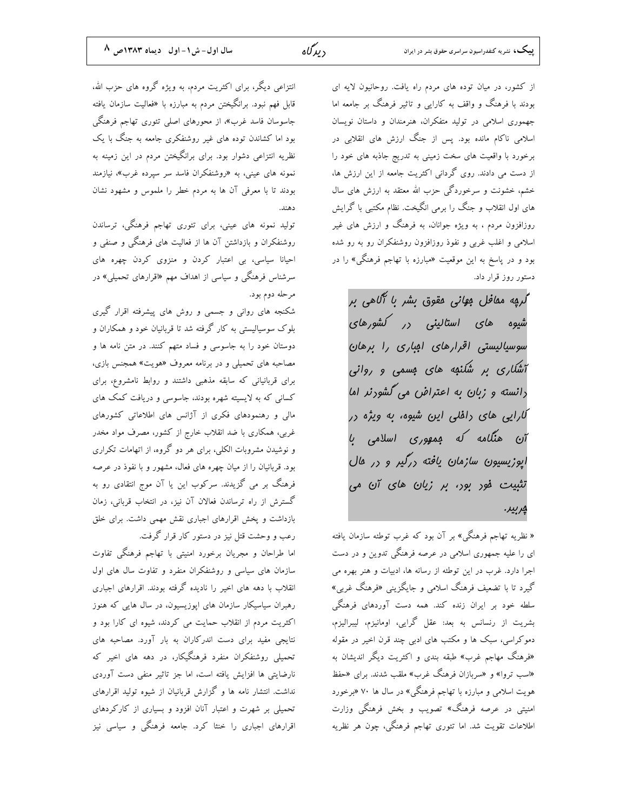از کشور، در میان توده های مردم راه یافت. روحانیون لایه ای بودند با فرهنگ و واقف به کارایی و تاثیر فرهنگ بر جامعه اما جهموری اسلامی در تولید متفکران، هنرمندان و داستان نویسان اسلامی ناکام مانده بود. پس از جنگ ارزش های انقلابی در برخورد با واقعیت های سخت زمینی به تدریج جاذبه های خود را از دست می دادند. روی گردانی اکثریت جامعه از این ارزش ها، خشم، خشونت و سرخوردگی حزب الله معتقد به ارزش های سال های اول انقلاب و جنگ را برمی انگیخت. نظام مکتبی با گرایش روزافزون مردم ، به ویژه جوانان، به فرهنگ و ارزش های غیر اسلامی و اغلب غربی و نفوذ روزافزون روشنفکران رو به رو شده بود و در پاسخ به این موقعیت «مبارزه با تهاجم فرهنگی» را در دستور روز قرار داد.

*گر*یه مق*اف*ل ب*وانی مقوق بشر با آگاهی بر* شیوه *های استالینی <sub>د</sub>ر کشورهای* سوسیالیستی اقرارهای امباری را برهان آشکاری پر شکنهه های مسمی و روانی دانسته و زبان به اعتراض می گشورنر اما کارایی های راهٔلی این شیوه، به ویژه در آن هنگامه که موهوری اسلامی با اپوزیسیون سازمان یافته ررگیر و در مال تثبیت فور بور، بر زبان های آن می ڀرپير.

« نظریه تهاجم فرهنگی» بر آن بود که غرب توطئه سازمان یافته ای را علیه جمهوری اسلامی در عرصه فرهنگی تدوین و در دست اجرا دارد. غرب در این توطئه از رسانه ها، ادبیات و هنر بهره می گیرد تا با تضعیف فرهنگ اسلامی و جایگزینی «فرهنگ غربی» سلطه خود بر ایران زنده کند. همه دست آوردهای فرهنگی بشریت از رنسانس به بعد: عقل گرایی، اومانیزم، لیبرالیزم، دموکراسی، سبک ها و مکتب های ادبی چند قرن اخیر در مقوله «فرهنگ مهاجم غرب» طبقه بندی و اکثریت دیگر اندیشان به «اسب تروا» و «سربازان فرهنگ غرب» ملقب شدند. برای «حفظ هویت اسلامی و مبارزه با تهاجم فرهنگی» در سال ها ۷۰ «برخورد امنیتی در عرصه فرهنگ» تصویب و بخش فرهنگی وزارت اطلاعات تقویت شد. اما تئوری تهاجم فرهنگی، چون هر نظریه

انتزاعی دیگر، برای اکثریت مردم، به ویژه گروه های حزب الله، قابل فهم نبود. برانگیختن مردم به مبارزه با «فعالیت سازمان یافته جاسوسان فاسد غرب»، از محورهای اصلی تئوری تهاجم فرهنگی بود اما کشاندن توده های غیر روشنفکری جامعه به جنگ با یک نظریه انتزاعی دشوار بود. برای برانگیختن مردم در این زمینه به نمونه های عینی، به «روشنفکران فاسد سر سیرده غرب»، نیازمند بودند تا با معرفی آن ها به مردم خطر را ملموس و مشهود نشان

تولید نمونه های عینی، برای تئوری تهاجم فرهنگی، ترساندن روشنفکران و بازداشتن آن ها از فعالیت های فرهنگی و صنفی و احیانا سیاسی، بی اعتبار کردن و منزوی کردن چهره های سرشناس فرهنگی و سیاسی از اهداف مهم «اقرارهای تحمیلی» در مرحله دوم بود.

شکنجه های روانی و جسمی و روش های پیشرفته اقرار گیری بلوک سوسیالیستی به کار گرفته شد تا قربانیان خود و همکاران و دوستان خود را به جاسوسی و فساد متهم کنند. در متن نامه ها و مصاحبه های تحمیلی و در برنامه معروف «هویت» همجنس بازی، برای قربانیانی که سابقه مذهبی داشتند و روابط نامشروع، برای کسانی که به لایسیته شهره بودند، جاسوسی و دریافت کمک های مالی و رهنمودهای فکری از آژانس های اطلاعاتی کشورهای غربی، همکاری با ضد انقلاب خارج از کشور، مصرف مواد مخدر و نوشیدن مشروبات الکلی، برای هر دو گروه، از اتهامات تکراری بود. قربانیان را از میان چهره های فعال، مشهور و با نفوذ در عرصه فرهنگ بر می گزیدند. سرکوب این یا آن موج انتقادی رو به گسترش از راه ترساندن فعالان آن نیز، در انتخاب قربانی، زمان بازداشت و یخش اقرارهای اجباری نقش مهمی داشت. برای خلق رعب و وحشت قتل نیز در دستور کار قرار گرفت.

اما طراحان و مجریان برخورد امنیتی با تهاجم فرهنگی تفاوت سازمان های سیاسی و روشنفکران منفرد و تفاوت سال های اول انقلاب با دهه های اخیر را نادیده گرفته بودند. اقرارهای اجباری رهبران سیاسیکار سازمان های ایوزیسیون، در سال هایی که هنوز اکثریت مردم از انقلاب حمایت می کردند، شیوه ای کارا بود و نتایجی مفید برای دست اندرکاران به بار آورد. مصاحبه های تحمیلی روشنفکران منفرد فرهنگیکار، در دهه های اخیر که نارضایتی ها افزایش یافته است، اما جز تاثیر منفی دست آوردی نداشت. انتشار نامه ها و گزارش قربانیان از شیوه تولید اقرارهای تحمیلی بر شهرت و اعتبار آنان افزود و بسیاری از کارکردهای اقرارهای اجباری را خنثا کرد. جامعه فرهنگی و سیاسی نیز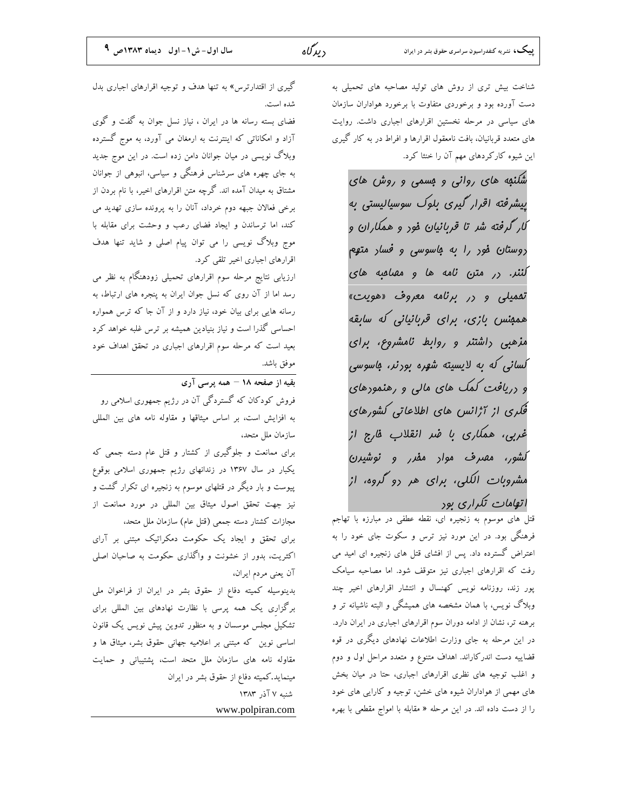شناخت بیش تری از روش های تولید مصاحبه های تحمیلی به دست آورده بود و برخوردی متفاوت با برخورد هواداران سازمان های سیاسی در مرحله نخستین اقرارهای اجباری داشت. روایت های متعدد قربانیان، بافت نامعقول اقرارها و افراط در به کار گیری این شیوه کارکردهای مهم آن را خنثا کرد.

شکنهه های روانی و مسمی و روش های پیشرفته اقرار گیری بلوک سوسیالیستی به کار گرفته شر تا قربانیان فور و همکاران و روست*ان* فور *را به باسوسی و فسا*ر متهم کننر. در متن نامه ها و مهامیه های تفمیلی و در برنامه معروف «هویت» همېنس بازى، براى قربانيانى كە سابقە مزهبی داشتنر و روابط نامشروع، برای کسانی که به لایسیته شهره بورنر، باسوسی و دریافت کمک های مالی و رهنمودهای فُکری از آژانس های اطلاعاتی کشورهای غربی، همکاری با ضر انقلاب فارج از *کشور، مصرف موا*ر مف*رر و نوشیرن* مشروبات الکلی، برای هر دو گروه، از اتهامات تکراری بود

قتل های موسوم به زنجیره ای، نقطه عطفی در مبارزه با تهاجم فرهنگی بود. در این مورد نیز ترس و سکوت جای خود را به اعتراض گسترده داد. پس از افشای قتل های زنجیره ای امید می رفت که اقرارهای اجباری نیز متوقف شود. اما مصاحبه سیامک پور زند، روزنامه نویس کهنسال و انتشار اقرارهای اخیر چند وبلاگ نویس، با همان مشخصه های همیشگی و البته ناشیانه تر و برهنه تر، نشان از ادامه دوران سوم اقرارهای اجباری در ایران دارد. در این مرحله به جای وزارت اطلاعات نهادهای دیگری در قوه قضاییه دست اندرکاراند. اهداف متنوع و متعدد مراحل اول و دوم و اغلب توجیه های نظری اقرارهای اجباری، حتا در میان بخش های مهمی از هواداران شیوه های خشن، توجیه و کارایی های خود را از دست داده اند. در این مرحله « مقابله با امواج مقطعی با بهره

گیری از اقتدارترس» به تنها هدف و توجیه اقرارهای اجباری بدل شده است.

فضای بسته رسانه ها در ایران ، نیاز نسل جوان به گفت و گوی آزاد و امکاناتی که اینترنت به ارمغان می آورد، به موج گسترده وبلاگ نویسی در میان جوانان دامن زده است. در این موج جدید به جای چهره های سرشناس فرهنگی و سیاسی، انبوهی از جوانان مشتاق به میدان آمده اند. گرچه متن اقرارهای اخیر، با نام بردن از برخی فعالان جبهه دوم خرداد، آنان را به پرونده سازی تهدید می کند، اما ترساندن و ایجاد فضای رعب و وحشت برای مقابله با موج وبلاگ نویسی را می توان پیام اصلی و شاید تنها هدف اقرارهای اجباری اخیر تلقی کرد.

ارزیابی نتایج مرحله سوم اقرارهای تحمیلی زودهنگام به نظر می رسد اما از آن روی که نسل جوان ایران به پنجره های ارتباط، به رسانه هایی برای بیان خود، نیاز دارد و از آن جا که ترس همواره احساسی گذرا است و نیاز بنیادین همیشه بر ترس غلبه خواهد کرد بعید است که مرحله سوم اقرارهای اجباری در تحقق اهداف خود موفق باشد.

بقیه از صفحه ۱۸ – همه برسی آری

.<br>فروش کودکان که گستردگی آن در رژیم جمهوری اسلامی رو به افزایش است، بر اساس میثاقها و مقاوله نامه های بین المللی سازمان ملل متحد،

برای ممانعت و جلوگیری از کشتار و قتل عام دسته جمعی که یکبار در سال ۱۳۶۷ در زندانهای رژیم جمهوری اسلامی بوقوع پیوست و بار دیگر در قتلهای موسوم به زنجیره ای تکرار گشت و نیز جهت تحقق اصول میثاق بین المللی در مورد ممانعت از مجازات كشتار دسته جمعى (قتل عام) سازمان ملل متحد،

برای تحقق و ایجاد یک حکومت دمکراتیک مبتنی بر آرای اکثریت، بدور از خشونت و واگذاری حکومت به صاحبان اصلی آن يعني مردم ايران،

بدینوسیله کمیته دفاع از حقوق بشر در ایران از فراخوان ملی برگزاری یک همه پرسی با نظارت نهادهای بین المللی برای تشکیل مجلس موسسان و به منظور تدوین پیش نویس یک قانون اساسی نوین که مبتنی بر اعلامیه جهانی حقوق بشر، میثاق ها و .<br>مقاوله نامه های سازمان ملل متحد است، یشتیبانی و حمایت مینماید.کمیته دفاع از حقوق بشر در ایران شنبه ۷ آذر ۱۳۸۳ www.polpiran.com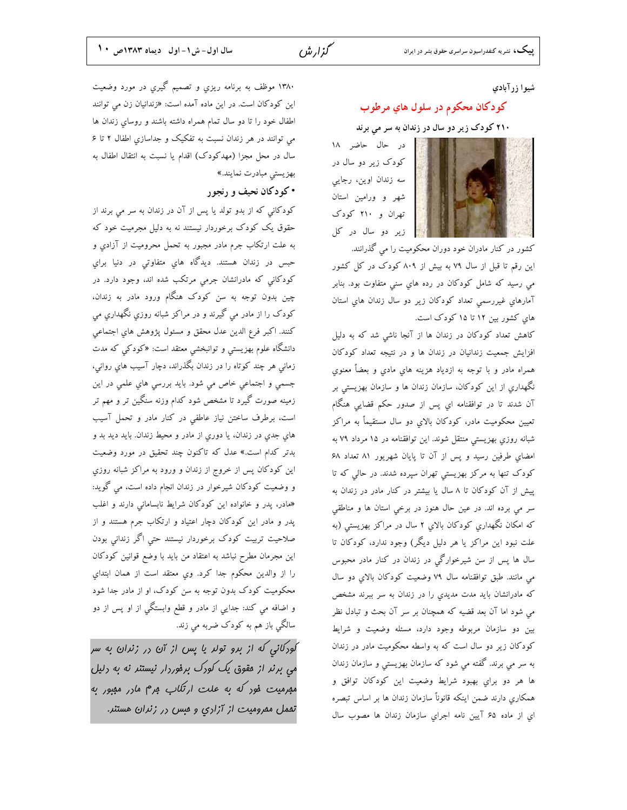### شیوا زرآبادی

# کودکان محکوم در سلول هاي مرطوب

# <mark>۲۱۰</mark> کودک زیر دو سال در زندان به سر مي برند

در حال حاضر ١٨ کودک زیر دو سال در سه زندان اوین، رجایی شهر و ورامین استان تهران و ۲۱۰ کودک زیر دو سال در کل



کشور در کنار مادران خود دوران محکومیت را می گذرانند. این رقم تا قبل از سال ۷۹ به بیش از ۸۰۹ کودک در کل کشور می رسید که شامل کودکان در رده هاي سني متفاوت بود. بنابر آمارهای غیررسمی تعداد کودکان زیر دو سال زندان های استان های کشور بین ۱۲ تا ۱۵ کودک است.

کاهش تعداد کودکان در زندان ها از آنجا ناشی شد که به دلیل افزایش جمعیت زندانیان در زندان ها و در نتیجه تعداد کودکان همراه مادر و با توجه به ازدیاد هزینه های مادی و بعضاً معنوی نگهداریِ از این کودکان، سازمان زندان ها و سازمان بهزیستی بر آن شدند تا در توافقنامه اي پس از صدور حکم قضايی هنگام تعیین محکومیت مادر، کودکان بالای دو سال مستقیماً به مراکز شبانه روزی بهزیستی منتقل شوند. این توافقنامه در ۱۵ مرداد ۷۹ به امضای طرفین رسید و پس از آن تا پایان شهریور ۸۱ تعداد ۶۸ کودک تنها به مرکز بهزیستی تهران سپرده شدند. در حالی که تا پیش از آن کودکان تا ۸ سال یا بیشتر در کنار مادر در زندان به سر می برده اند. در عین حال هنوز در برخی استان ها و مناطقی که امکان نگهداری کودکان بالای ۲ سال در مراکز بهزیستی (به علت نبود این مراکز یا هر دلیل دیگر) وجود ندارد، کودکان تا سال ها پس از سن شیرخوارگی در زندان در کنار مادر محبوس می مانند. طبق توافقنامه سال ۷۹ وضعیت کودکان بالای دو سال كه مادرانشان بايد مدت مديدي را در زندان به سر ببرند مشخص می شود اما آن بعد قضیه که همچنان بر سر آن بحث و تبادل نظر بین دو سازمان مربوطه وجود دارد، مسئله وضعیت و شرایط کودکان زیر دو سال است که به واسطه محکومیت مادر در زندان به سر می برند. گفته می شود که سازمان بهزیستی و سازمان زندان ها هر دو برای بهبود شرایط وضعیت این کودکان توافق و همکاری دارند ضمن اینکه قانوناً سازمان زندان ها بر اساس تبصره ای از ماده ۶۵ آیین نامه اجرای سازمان زندان ها مصوب سال

۱۳۸۰ موظف به برنامه ریزي و تصمیم گیري در مورد وضعیت این کودکان است. در این ماده آمده است: «زندانیان زن می توانند اطفال خود را تا دو سال تمام همراه داشته باشند و روساي زندان ها می توانند در هر زندان نسبت به تفکیک و جداسازیِ اطفال ۲ تا ۶ سال در محل مجزا (مهدکودک) اقدام یا نسبت به انتقال اطفال به بهزیستی مبادرت نمایند.»

## • کو دکان نحیف و رنجور

کودکانی که از بدو تولد یا پس از آن در زندان به سر می برند از حقوق یک کودک برخوردار نیستند نه به دلیل مجرمیت خود که به علت ارتکاب جرم مادر مجبور به تحمل محرومیت از آزادی و حبس در زندان هستند. ديدگاه هاي متفاوتی در دنيا براي کودکاني که مادرانشان جرمي مرتکب شده اند، وجود دارد. در چین بدون توجه به سن کودک هنگام ورود مادر به زندان، کودک را از مادر مي گيرند و در مراکز شبانه روزي نگهداري مي كنند. اكبر فرع الدين عدل محقق و مسئول پژوهش هاي اجتماعي دانشگاه علوم بهزیستی و توانبخشی معتقد است: «کودکی که مدت زمانی هر چند کوتاه را در زندان بگذراند، دچار آسیب های روانی، جسمی و اجتماعی خاص می شود. باید بررسی های علمی در این زمینه صورت گیرد تا مشخص شود کدام وزنه سنگین تر و مهم تر است، برطرف ساختن نیاز عاطفی در کنار مادر و تحمل آسیب هاي جدي در زندان، يا دوري از مادر و محيط زندان. بايد ديد بد و بدتر کدام است.» عدل که تاکنون چند تحقیق در مورد وضعیت این کودکان پس از خروج از زندان و ورود به مراکز شبانه روزی و وضعیت کودکان شیرخوار در زندان انجام داده است، می گوید: «مادر، پدر و خانواده این کودکان شرایط نابسامانی دارند و اغلب پدر و مادر این کودکان دچار اعتیاد و ارتکاب جرم هستند و از صلاحیت تربیت کودک برخوردار نیستند حتی اگر زندانی بودن این مجرمان مطرح نباشد به اعتقاد من باید با وضع قوانین کودکان را از والدین محکوم جدا کرد. وی معتقد است از همان ابتدای محکومیت کودک بدون توجه به سن کودک، او از مادر جدا شود و اضافه می کند: جدایی از مادر و قطع وابستگی از او پس از دو سالگی باز هم به کودک ضربه می زند.

کودکائی که از برو تولر یا پس از آن در زندان به سر می برنر از مقوق یک کورک برفوردار نیستنر نه به دلیل مبرمیت فور که به علت ارتکاب برم مارر مببور به تممل ممرومیت از آزاری و مس در زنران هستنر.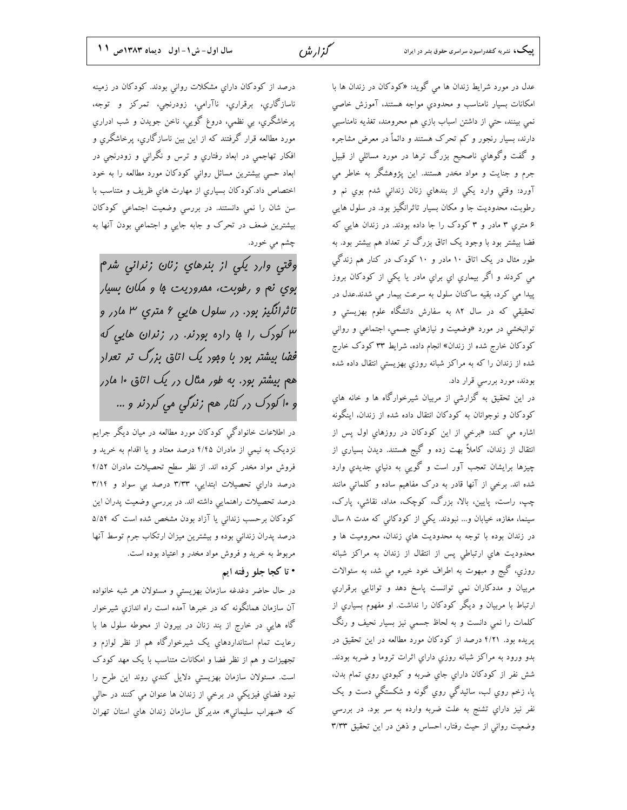عدل در مورد شرایط زندان ها می گوید: «کودکان در زندان ها با امکانات بسیار نامناسب و محدودیِ مواجه هستند، آموزش خاصی نمي بينند، حتى از داشتن اسباب بازي هم محرومند، تغذيه نامناسبي دارند، بسیار رنجور و کم تحرک هستند و دائماً در معرض مشاجره و گفت وگوهاي ناصحيح بزرگ ترها در مورد مسائلي از قبيل جرم و جنایت و مواد مخدر هستند. این پژوهشگر به خاطر می آورد: وقتی وارد يکی از بندهاي زنان زندانی شدم بوي نم و رطوبت، محدودیت جا و مکان بسیار تاثرانگیز بود. در سلول هایی ۶ متری ۳ مادر و ۳ کودک را جا داده بودند. در زندان هایی که فضا بیشتر بود با وجود یک اتاق بزرگ تر تعداد هم بیشتر بود. به طور مثال در یک اتاق ۱۰ مادر و ۱۰ کودک در کنار هم زندگی می کردند و اگر بیماری ای برای مادر یا یکی از کودکان بروز پیدا می کرد، بقیه ساکنان سلول به سرعت بیمار می شدند.عدل در تحقیقی که در سال ۸۲ به سفارش دانشگاه علوم بهزیستی و توانبخشی در مورد «وضعیت و نیازهای جسمی، اجتماعی و روانی کودکان خارج شده از زندان» انجام داده، شرایط ۳۳ کودک خارج شده از زندان را که به مراکز شبانه روزي بهزيستي انتقال داده شده بودند، مورد بررسی قرار داد.

در این تحقیق به گزارشی از مربیان شیرخوارگاه ها و خانه های کودکان و نوجوانان به کودکان انتقال داده شده از زندان، اینگونه اشاره می کند: «برخی از این کودکان در روزهای اول پس از انتقال از زندان، کاملاً بهت زده و گیج هستند. دیدن بسیاری از چيزها برايشان تعجب آور است و گويې به دنياي جديدي وارد شده اند. برخی از آنها قادر به درک مفاهیم ساده و کلماتی مانند چپ، راست، پایین، بالا، بزرگ، کوچک، مداد، نقاشی، پارک، سینما، مغازه، خیابان و... نبودند. یکی از کودکانی که مدت ۸ سال در زندان بوده با توجه به محدودیت های زندان، محرومیت ها و محدودیت های ارتباطی پس از انتقال از زندان به مراکز شبانه روزی، گیج و مبهوت به اطراف خود خیره می شد، به سئوالات مربيان و مددكاران نمي توانست پاسخ دهد و توانايي برقراري ارتباط با مربیان و دیگر کودکان را نداشت. او مفهوم بسیاري از کلمات را نمی دانست و به لحاظ جسمی نیز بسیار نحیف و رنگ پریده بود. ۴/۲۱ درصد از کودکان مورد مطالعه در این تحقیق در بدو ورود به مراكز شبانه روزي داراي اثرات تروما و ضربه بودند. شش نفر از كودكان داراي جاي ضربه و كبودي روي تمام بدن، پا، زخم روی لب، سائیدگی روی گونه و شکستگی دست و یک نفر نیز دارای تشنج به علت ضربه وارده به سر بود. در بررسی وضعیت روانی از حیث رفتار، احساس و ذهن در این تحقیق ۳/۳۳

درصد از کودکان دارای مشکلات روانی بودند. کودکان در زمینه ناسازگاري، برقراري، ناآرامي، زودرنجي، تمركز و توجه، پرخاشگري، بي نظمي، دروغ گويي، ناخن جويدن و شب ادراري مورد مطالعه قرار گرفتند که از این بین ناسازگاری، پرخاشگری و افکار تهاجمی در ابعاد رفتاري و ترس و نگرانی و زودرنجی در ابعاد حسی بیشترین مسائل روانی کودکان مورد مطالعه را به خود اختصاص داد.کودکان بسیاری از مهارت های ظریف و متناسب با سن شان را نمی دانستند. در بررسی وضعیت اجتماعی کودکان بیشترین ضعف در تحرک و جابه جایی و اجتماعی بودن آنها به چشم می خورد.

وقتي وارد يكي از بندهاي زنان زنداني شرم بوي نم و رطوبت، ممروريت با و مكان بسيار تاثرانگيز بور. رر سلول هايی ۶ متري ۳ مارر و ۳ کورک را با داده بودند. در زندان هایی که ففا بیشتر بور با وبور یک اتاق بزرگ تر تعرار هم بیشتر بور. به طور مث*ال <sub>د</sub>ر یک اتا*ق ۱۰ م*ا*رر و ۱۰ کودک در کنار هع زندگی می کردند و …

در اطلاعات خانوادگي کودکان مورد مطالعه در ميان ديگر جرايم نزدیک به نیمی از مادران ۴/۴۵ درصد معتاد و یا اقدام به خرید و فروش مواد مخدر كرده اند. از نظر سطح تحصيلات مادران ۴/۵۲ درصد داراي تحصيلات ابتدايي، ٣/٣٣ درصد بي سواد و ٣/١٤ درصد تحصیلات راهنمایی داشته اند. در بررسی وضعیت پدران این کودکان برحسب زندانی یا آزاد بودن مشخص شده است که ۵/۵۴ درصد پدران زندانی بوده و بیشترین میزان ارتکاب جرم توسط آنها مربوط به خرید و فروش مواد مخدر و اعتیاد بوده است. • تا كجا جلو رفته ايم

در حال حاضر دغدغه سازمان بهزیستی و مسئولان هر شبه خانواده آن سازمان همانگونه که در خبرها آمده است راه اندازی شیرخوار گاه هایی در خارج از بند زنان در بیرون از محوطه سلول ها با رعایت تمام استانداردهای یک شیرخوارگاه هم از نظر لوازم و تجهیزات و هم از نظر فضا و امکانات متناسب با یک مهد کودک است. مسئولان سازمان بهزیستی دلایل کندی روند این طرح را نبود فضاي فيزيکي در برخي از زندان ها عنوان مي کنند در حالي كه «سهراب سليمانى»، مديركل سازمان زندان هاي استان تهران

گزار ش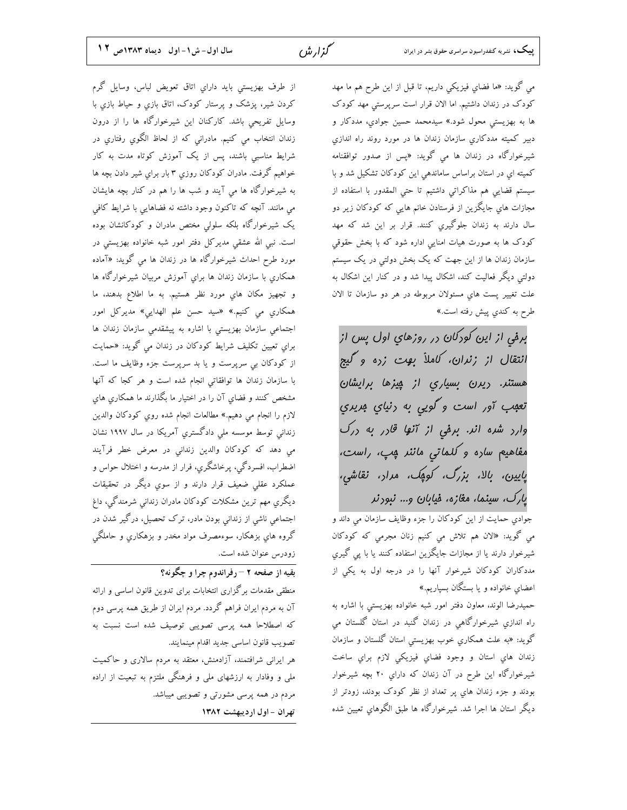مي گويد: «ما فضاي فيزيکي داريم، تا قبل از اين طرح هم ما مهد کودک در زندان داشتیم. اما الان قرار است سرپرستی مهد کودک ها به بهزیستی محول شود.» سیدمحمد حسین جوادیِ، مددکار و دبیر کمیته مددکاري سازمان زندان ها در مورد روند راه اندازي شیرخوارگاه در زندان ها می گوید: «پس از صدور توافقنامه کمیته ای در استان براساس ساماندهی این کودکان تشکیل شد و با سیستم قضایی هم مذاکراتی داشتیم تا حتی المقدور با استفاده از مجازات های جایگزین از فرستادن خانم هایی که کودکان زیر دو سال دارند به زندان جلوگیری کنند. قرار بر این شد که مهد کودک ها به صورت هیات امنایی اداره شود که با بخش حقوقی سازمان زندان ها از این جهت که یک بخش دولتی در یک سیستم دولتی دیگر فعالیت کند، اشکال پیدا شد و در کنار این اشکال به علت تغییر پست های مسئولان مربوطه در هر دو سازمان تا الان طرح به کندی پیش رفته است.»

برمی از این کودکان در روزهای اول پس از انتقال از زنران، کاملاً بوت زده و گیچ هستنر. ريرن بسياري از پيزها برايشان تعبب آور است و گويی به رنياي بريري  $\bigcup_{\gamma}$ وارد شده اند. برفی از آنها قادر به درک مفاهیم ساره و کلماتی ماننر پپ، راست، پایین، بالا، بزرگ، کومِک، مرار، نقاشی، یارک، سینما، مغازه، فیابان و… نبودند

.<br>جوادی حمایت از این کودکان را جزء وظایف سازمان می داند و می گوید: «الان هم تلاش می کنیم زنان مجرمی که کودکان شیرخوار دارند یا از مجازات جایگزین استفاده کنند یا با پی گیری مددکاران کودکان شیرخوار آنها را در درجه اول به یکی از اعضاي خانواده و يا بستگان بسپاريم.»

حمیدرضا الوند، معاون دفتر امور شبه خانواده بهزیستی با اشاره به راه اندازی شیرخوارگاهی در زندان گنبد در استان گلستان می گوید: «به علت همکاری خوب بهزیستی استان گلستان و سازمان زندان هاي استان و وجود فضاي فيزيكي لازم براي ساخت شیرخوارگاه این طرح در آن زندان که داراي ۲۰ بچه شیرخوار بودند و جزء زندان هاي پر تعداد از نظر کودک بودند، زودتر از ديگر استان ها اجرا شد. شيرخوارگاه ها طبق الگوهاي تعيين شده

سال اول- ش ١- اول ديماه ١٣٨٣ص ١٢

از طرف بهزیستی باید دارای اتاق تعویض لباس، وسایل گرم کردن شیر، پزشک و پرستار کودک، اتاق بازی و حیاط بازی با وسایل تفریحی باشد. کارکنان این شیرخوارگاه ها را از درون زندان انتخاب می کنیم. مادرانی که از لحاظ الگوی رفتاری در شرایط مناسبی باشند، پس از یک آموزش کوتاه مدت به کار خواهیم گرفت. مادران کودکان روزی ۳ بار برای شیر دادن بچه ها به شیرخوارگاه ها می آیند و شب ها را هم در کنار بچه هایشان می مانند. آنچه که تاکنون وجود داشته نه فضاهایی با شرایط کافی یک شیرخوارگاه بلکه سلولی مختص مادران و کودکانشان بوده است. نبی الله عشقی مدیرکل دفتر امور شبه خانواده بهزیستی در مورد طرح احداث شیرخوارگاه ها در زندان ها می گوید: «آماده همکاری با سازمان زندان ها برای آموزش مربیان شیرخوارگاه ها و تجهیز مکان های مورد نظر هستیم. به ما اطلاع بدهند، ما همکاری می کنیم.» «سید حسن علم الهدایی» مدیرکل امور اجتماعی سازمان بهزیستی با اشاره به پیشقدمی سازمان زندان ها برای تعیین تکلیف شرایط کودکان در زندان می گوید: «حمایت از کودکان بی سرپرست و یا بد سرپرست جزء وظایف ما است. با سازمان زندان ها توافقاتی انجام شده است و هر کجا که آنها مشخص کنند و فضاي آن را در اختيار ما بگذارند ما همکاري هاي لازم را انجام مي دهيم.» مطالعات انجام شده روي كودكان والدين زندانی توسط موسسه ملی دادگستری آمریکا در سال ۱۹۹۷ نشان می دهد که کودکان والدین زندانی در معرض خطر فرآیند اضطراب، افسردگی، پرخاشگري، فرار از مدرسه و اختلال حواس و عملکرد عقلی ضعیف قرار دارند و از سوی دیگر در تحقیقات دیگری مهم ترین مشکلات کودکان مادران زندانی شرمندگی، داغ اجتماعی ناشی از زندانی بودن مادر، ترک تحصیل، درگیر شدن در گروه های بزهکار، سوءمصرف مواد مخدر و بزهکاری و حاملگی زودرس عنوان شده است.

بقيه از صفحه ٢ –رفراندوم چرا و چگونه؟

منطقی مقدمات برگزاری انتخابات برای تدوین قانون اساسی و ارائه آن به مردم ایران فراهم گردد. مردم ایران از طریق همه پرسی دوم که اصطلاحا همه پرسی تصویبی توصیف شده است نسبت به تصويب قانون اساسي جديد اقدام مينمايند.

هر ایرانی شرافتمند، آزادمنش، معتقد به مردم سالاری و حاکمیت ملی و وفادار به ارزشهای ملی و فرهنگی ملتزم به تبعیت از اراده مردم در همه پرسی مشورتی و تصویبی میباشد.

تهران - اول ارديبهشت ١٣٨٢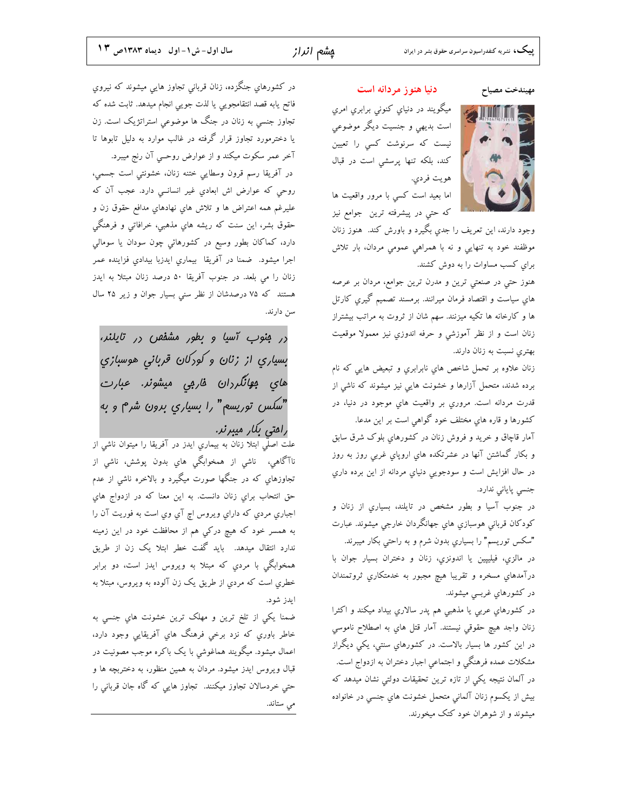### مهيندخت مصياح

میگویند در دنیای کنونی برابری امری است بدیهی و جنسیت دیگر موضوعی نيست كه سرنوشت كسي را تعيين کند، بلکه تنها پرسشی است در قبال هويت فردي.

دنیا هنوز مردانه است

اما بعيد است كسى با مرور واقعيت ها که حتی در پیشرفته ترین جوامع نیز



هنوز حتی در صنعتی ترین و مدرن ترین جوامع، مردان بر عرصه های سیاست و اقتصاد فرمان میرانند. برمسند تصمیم گیری کارتل ها و کارخانه ها تکیه میزنند. سهم شان از ثروت به مراتب بیشتراز زنان است و از نظر آموزشی و حرفه اندوزي نيز معمولا موقعيت بهتری نسبت به زنان دارند.

زنان علاوه بر تحمل شاخص هاي نابرابري و تبعيض هايي كه نام برده شدند، متحمل آزارها و خشونت هایی نیز میشوند که ناشی از قدرت مردانه است. مروري بر واقعيت هاي موجود در دنيا، در كشورها و قاره هاي مختلف خود گواهي است بر اين مدعا.

آمار قاچاق و خرید و فروش زنان در کشورهای بلوک شرق سابق و بکار گماشتن آنها در عشرتکده هاي اروپاي غربی روز به روز در حال افزايش است و سودجويي دنياي مردانه از اين برده داري جنسی پایانی ندارد.

در جنوب آسیا و بطور مشخص در تایلند، بسیاری از زنان و کودکان قربانی هوسبازیِ هایِ جهانگردان خارجی میشوند. عبارت "سکس توریسم" را بسیاری بدون شرم و به راحتی بکار میبرند. در مالزي، فيليپين يا اندونزي، زنان و دختران بسيار جوان با

درآمدهای مسخره و تقریبا هیچ مجبور به خدمتکاری ثروتمندان در کشورهاي غربــی میشوند.

در كشورهاي عربی يا مذهبی هم پدر سالاري بيداد ميكند و اكثرا زنان واجد هيچ حقوقي نيستند. آمار قتل هاي به اصطلاح ناموسي در این کشور ها بسیار بالاست. در کشورهاي سنتی، یکی دیگراز مشکلات عمده فرهنگی و اجتماعی اجبار دختران به ازدواج است. در آلمان نتیجه یکی از تازه ترین تحقیقات دولتی نشان میدهد که بیش از یکسوم زنان آلمانی متحمل خشونت های جنسی در خانواده میشوند و از شوهران خود کتک میخورند.

در كشورهاي جنگزده، زنان قرباني تجاوز هايي ميشوند كه نيروي فاتح يابه قصد انتقامجويي يا لذت جويي انجام ميدهد. ثابت شده كه تجاوز جنسی به زنان در جنگ ها موضوعی استراتژیک است. زن یا دخترمورد تجاوز قرار گرفته در غالب موارد به دلیل تابوها تا آخر عمر سکوت میکند و از عوارض روحــی آن رنج میبرد. در آفريقا رسم قرون وسطايي ختنه زنان، خشونتي است جسمي، روحی که عوارض اش ابعادي غير انسانــي دارد. عجب آن که علیرغم همه اعتراض ها و تلاش های نهادهای مدافع حقوق زن و حقوق بشر، این سنت که ریشه هایِ مذهبی، خرافاتی و فرهنگی دارد، کماکان بطور وسیع در کشورهائی چون سودان یا سومالی اجرا میشود. ضمنا در آفریقا بیماری ایدزبا بیدادی فزاینده عمر زنان را می بلعد. در جنوب آفریقا ۵۰ درصد زنان مبتلا به ایدز هستند که ۷۵ درصدشان از نظر سنی بسیار جوان و زیر ۲۵ سال سن دارند.

در فنوب آسیا و بطور مشفص در تایلنر، بسياري از زنان و کورکان قربانی هوسبازي هاي ب*وانگر*دان ف*ار*بي ميشونر. *عبار*ت "سکس توریسع" را بسیاری برون شرم و به رامتی بکار میبرند.

علت اصلَّی ابتلا زنان به بیماری ایدز در آفریقا را میتوان ناشی از ناآگاهی، ناشی از همخوابگی هایِ بدون پوشش، ناشی از تجاوزهای که در جنگها صورت میگیرد و بالاخره ناشی از عدم حق انتحاب براي زنان دانست. به اين معنا كه در ازدواج هاي اجباري مردي كه داراي ويروس اچ آي وي است به فوريت آن را به همسر خود که هیچ درکی هم از محافظت خود در این زمینه ندارد انتقال میدهد. باید گفت خطر ابتلا یک زن از طریق همخوابگی با مردی که مبتلا به ویروس ایدز است، دو برابر خطري است كه مردي از طريق يک زن آلوده به ويروس، مبتلا به ايدز شود.

ضمنا يكي از تلخ ترين و مهلک ترين خشونت هاي جنسي به خاطر باوري که نزد برخی فرهنگ هاي آفريقايی وجود دارد، اعمال میشود. میگویند هماغوشی با یک باکره موجب مصونیت در قبال ویروس ایدز میشود. مردان به همین منظور، به دختربچه ها و حتی خردسالان تجاوز میکنند. تجاوز هایی که گاه جان قربانی را می ستاند.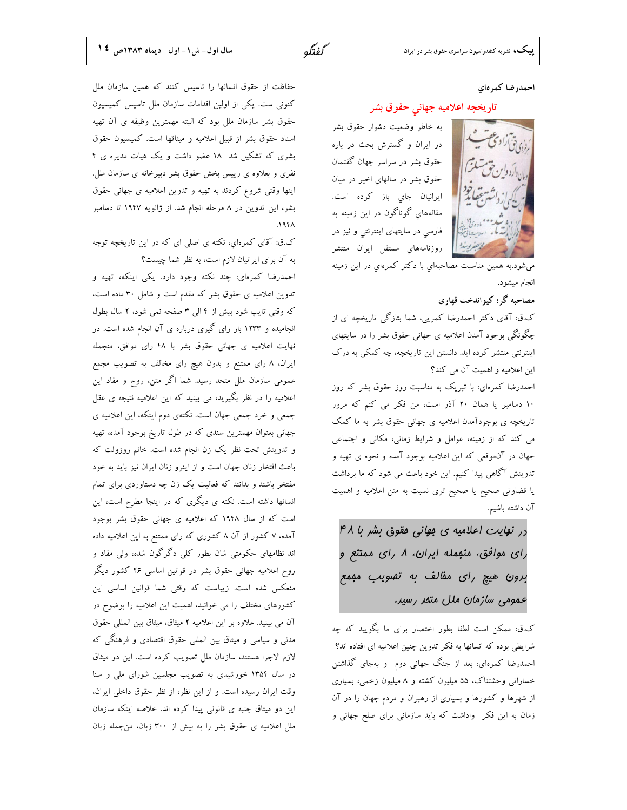### احمدرضا كمرهاي

### تاریخچه اعلامیه جهانی حقوق بشر

به خاطر وضعیت دشوار حقوق بشر در ایران و گسترش بحث در باره حقوق بشر در سراسر جهان گفتمان حقوق بشر در سالهای اخیر در میان ايرانيان جاي باز كرده است. مقالههاي گوناگون در اين زمينه به فارسی در سایتهایِ اینترنتی و نیز در روزنامههاي مستقل ايران منتشر

میشود.به همین مناسبت مصاحبهای با دکتر کمرهای در این زمینه انجام میشود.

مصاحبه گر: کیواندخت قهاری

ک.ق: آقای دکتر احمدرضا کمریی، شما بتازگی تاریخچه ای از چگونگی بوجود آمدن اعلامیه ی جهانی حقوق بشر را در سایتهای اینترنتی منتشر کرده اید. دانستن این تاریخچه، چه کمکی به درک این اعلامیه و اهمیت آن می کند؟

احمدرضا کمرهای: با تبریک به مناسبت روز حقوق بشر که روز ۱۰ دسامبر یا همان ۲۰ آذر است، من فکر می کنم که مرور تاریخچه ی بوجودآمدن اعلامیه ی جهانی حقوق بشر به ما کمک می کند که از زمینه، عوامل و شرایط زمانی، مکانی و اجتماعی جهان در آنموقعی که این اعلامیه بوجود آمده و نحوه ی تهیه و تدوینش آگاهی پیدا کنیم. این خود باعث می شود که ما برداشت یا قضاوتی صحیح یا صحیح تری نسبت به متن اعلامیه و اهمیت آن داشته باشیم.

در نهایت اعلامیه ی مهانی مقوق بشر با ۴۸ رای موافق، منبمله ایران، ۸ رای ممتنع و برون هيچ رای مقالف به تصويب معمع عمومی سازمان ملل متمر رسیر.

ک.ق: ممکن است لطفا بطور اختصار برای ما بگویید که چه شرایطی بوده که انسانها به فکر تدوین چنین اعلامیه ای افتاده اند؟ احمدرضا کمرهای: بعد از جنگ جهانی دوم ً و بهجای گذاشتن خساراتی وحشتناک، ۵۵ میلیون کشته و ۸ میلیون زخمی، بسیاری از شهرها و کشورها و بسیاری از رهبران و مردم جهان را در آن زمان به این فکر ًواداشت که باید سازمانی برای صلح جهانی و

حفاظت از حقوق انسانها را تاسيس كنند كه همين سازمان ملل کنونی ست. یکی از اولین اقدامات سازمان ملل تاسیس کمیسیون حقوق بشر سازمان ملل بود که البته مهمترین وظیفه ی آن تهیه اسناد حقوق بشر از قبيل اعلاميه و ميثاقها است. كميسيون حقوق بشری که تشکیل شد ۱۸ عضو داشت و یک هیات مدیره ی ۴ نفری و بعلاوه ی رییس بخش حقوق بشر دبیرخانه ی سازمان ملل. اینها وقتی شروع کردند به تهیه و تدوین اعلامیه ی جهانی حقوق بشر، این تدوین در ۸ مرحله انجام شد. از ژانویه ۱۹۴۷ تا دسامبر  $\Lambda$ ۹۴۸.

ک.ق: آقای کمرهای، نکته ی اصلی ای که در این تاریخچه توجه به آن برای ایرانیان لازم است، به نظر شما چیست؟

احمدرضا كمرهاي: چند نكته وجود دارد. يكي اينكه، تهيه و تدوین اعلامیه ی حقوق بشر که مقدم است و شامل ۳۰ ماده است، که وقتی تایپ شود بیش از ۴ الی ۳ صفحه نمی شود، ۲ سال بطول انجامیده و ۱۲۳۳ بار رای گیری درباره ی آن انجام شده است. در نهایت اعلامیه ی جهانی حقوق بشر با ۴۸ رای موافق، منجمله ایران، ۸ رای ممتنع و بدون هیچ رای مخالف به تصویب مجمع عمومی سازمان ملل متحد رسید. شما اگر متن، روح و مفاد این اعلامیه را در نظر بگیرید، می بینید که این اعلامیه نتیجه ی عقل جمعی و خرد جمعی جهان است. نکتهی دوم اینکه، این اعلامیه ی جهانی بعنوان مهمترین سندی که در طول تاریخ بوجود آمده، تهیه و تدوینش تحت نظر یک زن انجام شده است. خانم روزولت که باعث افتخار زنان جهان است و از اینرو زنان ایران نیز باید به خود مفتخر باشند و بدانند که فعالیت یک زن چه دستاوردی برای تمام انسانها داشته است. نکته ی دیگری که در اینجا مطرح است، این است که از سال ۱۹۴۸ که اعلامیه ی جهانی حقوق بشر بوجود آمده، ۷ کشور از آن ۸ کشوری که رای ممتنع به این اعلامیه داده اند نظامهای حکومتی شان بطور کلی دگرگون شده، ولی مفاد و روح اعلامیه جهانی حقوق بشر در قوانین اساسی ۲۶ کشور دیگر منعکس شده است. زیباست که وقتی شما قوانین اساسی این کشورهای مختلف را می خوانید، اهمیت این اعلامیه را بوضوح در آن می بینید. علاوه بر این اعلامیه ۲ میثاق، میثاق بین المللی حقوق مدنی و سیاسی و میثاق بین المللی حقوق اقتصادی و فرهنگی که لازم الاجرا هستند، سازمان ملل تصويب كرده است. اين دو ميثاق در سال ۱۳۵۴ خورشیدی به تصویب مجلسین شورای ملی و سنا وقت ايران رسيده است. و از اين نظر، از نظر حقوق داخلي ايران، این دو میثاق جنبه ی قانونی پیدا کرده اند. خلاصه اینکه سازمان ملل اعلامیه ی حقوق بشر را به بیش از ۳۰۰ زبان، من جمله زبان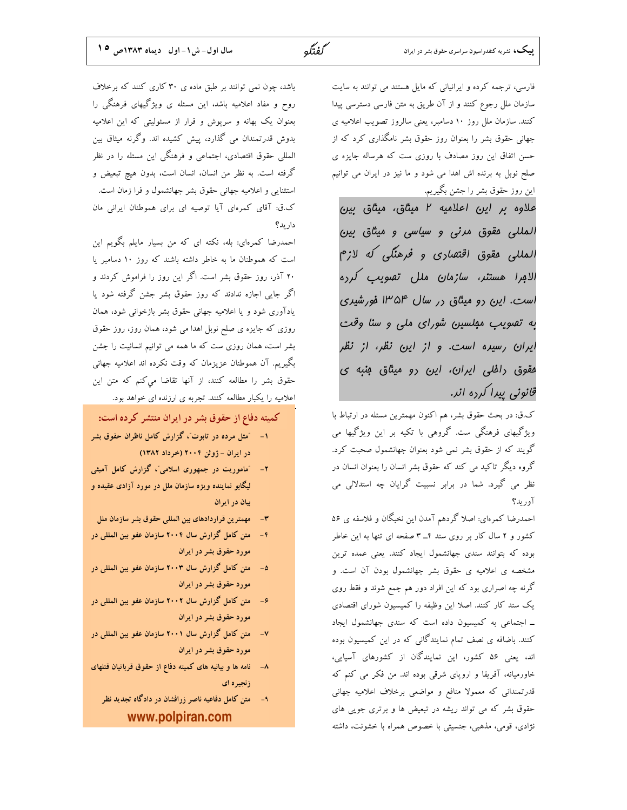فارسی، ترجمه کرده و ایرانیانی که مایل هستند می توانند به سایت سازمان ملل رجوع كنند و از آن طريق به متن فارسي دسترسي پيدا کنند. سازمان ملل روز ١٠ دسامبر، يعني سالروز تصويب اعلاميه ي جهانی حقوق بشر را بعنوان روز حقوق بشر نامگذاری کرد که از حسن اتفاق این روز مصادف با روزی ست که هرساله جایزه ی صلح نوبل به برنده اش اهدا می شود و ما نیز در ایران می توانیم این روز حقوق بشر را جشن بگیریم.

علاوہ بر این اعلامیه ۲ میثاق، میثاق بین المللی مقوق مرنی و سیاسی و میثاق بین المللي مقوق اقتصاري و فرهنگي كه لازم الافرا هستنر، سازمان ملل تصويب كرره است. این رو میثاق رر سال ۱۳۵۴ فورشیری به تصویب مبلسین شورای ملی و سنا وقت ایران رسیره است. و از این نظر، از نظر مقوق رافلی ایران، این رو میثاق منبه ی قانونی پیرا کرده انر.

ک.ق: در بحث حقوق بشر، هم اکنون مهمترین مسئله در ارتباط با ویژگیهای فرهنگی ست. گروهی با تکیه بر این ویژگیها می گویند که از حقوق بشر نمی شود بعنوان جهانشمول صحبت کرد. گروه دیگر تاکید می کند که حقوق بشر انسان را بعنوان انسان در نظر می گیرد. شما در برابر نسبیت گرایان چه استدلالی می آوريد؟

احمدرضا كمرهاي: اصلا گردهم آمدن اين نخبگان و فلاسفه ي ۵۶ کشور و ۲ سال کار بر روی سند ۴\_ ۳ صفحه ای تنها به این خاطر بوده که بتوانند سندی جهانشمول ایجاد کنند. یعنی عمده ترین مشخصه ی اعلامیه ی حقوق بشر جهانشمول بودن آن است. و گرنه چه اصراری بود که این افراد دور هم جمع شوند و فقط روی یک سند کار کنند. اصلا این وظیفه را کمیسیون شورای اقتصادی ـ اجتماعی به کمیسیون داده است که سندی جهانشمول ایجاد کنند. باضافه ی نصف تمام نمایندگانی که در این کمیسیون بوده اند، یعنی ۵۶ کشور، این نمایندگان از کشورهای آسیایی، خاورمیانه، آفریقا و اروپای شرقی بوده اند. من فکر می کنم که قدرتمندانی که معمولا منافع و مواضعی برخلاف اعلامیه جهانی حقوق بشر که می تواند ریشه در تبعیض ها و برتری جویی های نژادی، قومی، مذهبی، جنسیتی با خصوص همراه با خشونت، داشته

باشد، چون نمی توانند بر طبق ماده ی ۳۰ کاری کنند که برخلاف روح و مفاد اعلامیه باشد، این مسئله ی ویژگیهای فرهنگی را بعنوان یک بهانه و سرپوش و فرار از مسئولیتی که این اعلامیه بدوش قدرتمندان می گذارد، پیش کشیده اند. وگرنه میثاق بین المللی حقوق اقتصادی، اجتماعی و فرهنگی این مسئله را در نظر گرفته است. به نظر من انسان، انسان است، بدون هیچ تبعیض و استثنایی و اعلامیه جهانی حقوق بشر جهانشمول و فرا زمان است. ک.ق: آقای کمرهای آیا توصیه ای برای هموطنان ایرانی مان داريد؟

احمدرضا کمرهای: بله، نکته ای که من بسیار مایلم بگویم این است که هموطنان ما به خاطر داشته باشند که روز ۱۰ دسامبر یا ۲۰ آذر، روز حقوق بشر است. اگر این روز را فراموش کردند و اگر جایی اجازه ندادند که روز حقوق بشر جشن گرفته شود یا یادآوری شود و یا اعلامیه جهانی حقوق بشر بازخوانی شود، همان روزی که جایزه ی صلح نوبل اهدا می شود، همان روز، روز حقوق بشر است، همان روزی ست که ما همه می توانیم انسانیت را جشن بگیریم. آن هموطنان عزیزمان که وقت نکرده اند اعلامیه جهانی حقوق بشر را مطالعه كنند، از آنها تقاضا مى كنم كه متن اين اعلامیه را یکبار مطالعه کنند. تجربه ی ارزنده ای خواهد بود.

کمیته دفاع از حقوق بشر در ایران منتشر کرده است:

- ۱- "مثل مرده در تابوت"، گزارش کامل ناظران حقوق بشر در ایران - ژوئن ۲۰۰۴ (خرداد ۱۳۸۲)
- ۲- ″ماموریت در جمهوری اسلامی″، گزارش کامل آمبئی لیگابو نماینده ویژه سازمان ملل در مورد آزادی عقیده و بيان در ايران
- مهمترين قراردادهاى بين المللى حقوق بشر سازمان ملل  $-1$
- متن كامل گزارش سال ۲۰۰۴ سازمان عفو بين المللي در  $-6$ مورد حقوق بشر در ايران
- ۵- متن کامل گزارش سال ۲۰۰۳ سازمان عفو بین المللی در مورد حقوق بشر در ايران
- ۶- متن كامل گزارش سال ۲۰۰۲ سازمان عفو بين المللي در مورد حقوق بشر در ایران
- ۷- متن کامل گزارش سال ۲۰۰۱ سازمان عفو بین المللی در مورد حقوق بشر در ایران
- نامه ها و بیانیه های کمیته دفاع از حقوق قرباتیان قتلهای  $-\lambda$ زنجد ه ای
	- متن کامل دفاعیه ناصر زرافشان در دادگاه تجدید نظر  $-9$ www.polpiran.com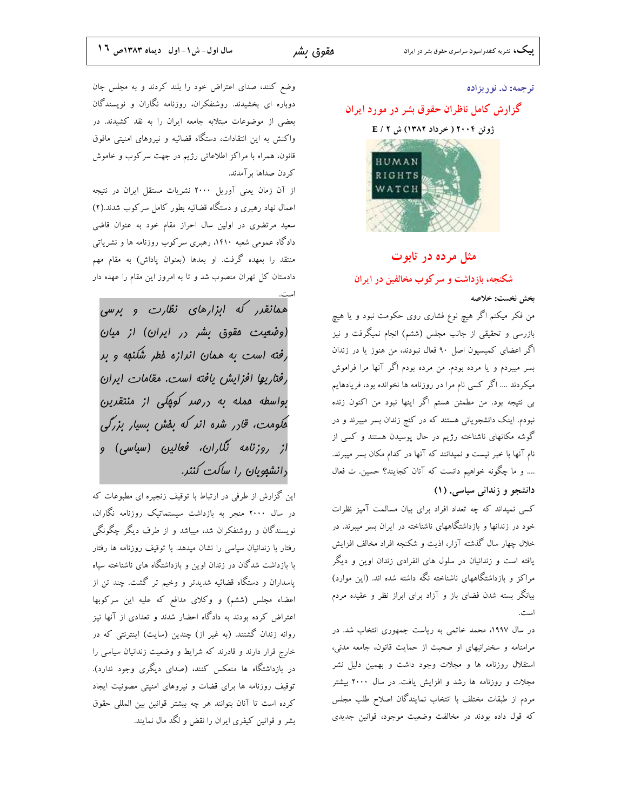#### ترجمه: ن. نوريزاده

# گزارش کامل ناظران حقوق بشر در مورد ایران

# ژوئن ۲۰۰۴ ( خرداد ۱۳۸۲) ش E / ۲



### مثل مرده در تابوت

شکنجه، بازداشت و سرکوب مخالفین در ایران

### بخش نخست: خلاصه

من فکر میکنم اگر هیچ نوع فشاری روی حکومت نبود و یا هیچ بازرسی و تحقیقی از جانب مجلس (ششم) انجام نمیگرفت و نیز اگر اعضای کمیسیون اصل ۹۰ فعال نبودند، من هنوز یا در زندان بسر میبردم و یا مرده بودم. من مرده بودم اگر آنها مرا فراموش میکردند …. اگر کسی نام مرا در روزنامه ها نخوانده بود، فریادهایم بی نتیجه بود. من مطمئن هستم اگر اینها نبود من اکنون زنده نبودم. اینک دانشجویانی هستند که در کنج زندان بسر میبرند و در گوشه مکانهای ناشناخته رژیم در حال پوسیدن هستند و کسی از نام آنها با خبر نیست و نمیدانند که آنها در کدام مکان بسر میبرند. .... و ما چگونه خواهیم دانست که آنان کجایند؟ حسین. ت فعال

## دانشجو و زندانی سیاسی. (۱)

کسی نمیداند که چه تعداد افراد برای بیان مسالمت آمیز نظرات خود در زندانها و بازداشتگاههای ناشناخته در ایران بسر میبرند. در خلال چهار سال گذشته آزار، اذیت و شکنجه افراد مخالف افزایش یافته است و زندانیان در سلول های انفرادی زندان اوین و دیگر مراکز و بازداشتگاههای ناشناخته نگه داشته شده اند. (این موارد) بیانگر بسته شدن فضای باز و آزاد برای ابراز نظر و عقیده مردم است.

در سال ۱۹۹۷، محمد خاتمی به ریاست جمهوری انتخاب شد. در مرامنامه و سخنرانیهای او صحبت از حمایت قانون، جامعه مدنی، استقلال روزنامه ها و مجلات وجود داشت و بهمین دلیل نشر مجلات و روزنامه ها رشد و افزایش یافت. در سال ۲۰۰۰ بیشتر مردم از طبقات مختلف با انتخاب نمايندگان اصلاح طلب مجلس که قول داده بودند در مخالفت وضعیت موجود، قوانین جدیدی

وضع كنند، صداى اعتراض خود را بلند كردند و به مجلس جان دوباره ای بخشیدند. روشنفکران، روزنامه نگاران و نویسندگان بعضی از موضوعات مبتلابه جامعه ایران را به نقد کشیدند. در واکنش به این انتقادات، دستگاه قضائیه و نیروهای امنیتی مافوق قانون، همراه با مراکز اطلاعاتی رژیم در جهت سرکوب و خاموش کر دن صداها بر آمدند.

از آن زمان یعنی آوریل ۲۰۰۰ نشریات مستقل ایران در نتیجه اعمال نهاد رهبری و دستگاه قضائیه بطور کامل سرکوب شدند.(۲) سعید مرتضوی در اولین سال احراز مقام خود به عنوان قاضی دادگاه عمومی شعبه ۱۴۱۰، رهبری سرکوب روزنامه ها و نشریاتی منتقد را بعهده گرفت. او بعدها (بعنوان پاداش) به مقام مهم دادستان کل تهران منصوب شد و تا به امروز این مقام را عهده دار

همانقرر که ابزارهای نظارت و برسی (وضعیت مقوق بشر در ایران) از میان رفته است به همان انرازه فطر شکنهه و بر رفتاریها افزایش یافته است. مقامات ایران بواسطه عمله به ررصد کومکی از منتقرین هکومت، قارر شره انر که بفش بسیار بزرگی از روزنامه نگاران، فعالین (سیاسی) و دانشهویان را ساکت کنند.

این گزارش از طرفی در ارتباط با توقیف زنجیره ای مطبوعات که در سال ۲۰۰۰ منجر به بازداشت سیستماتیک روزنامه نگاران، نویسندگان و روشنفکران شد، میباشد و از طرف دیگر چگونگی رفتار با زندانیان سیاسی را نشان میدهد. با توقیف روزنامه ها رفتار با بازداشت شدگان در زندان اوین و بازداشتگاه های ناشناخته سپاه پاسداران و دستگاه قضائیه شدیدتر و وخیم تر گشت. چند تن از اعضاء مجلس (ششم) و وکلای مدافع که علیه این سرکوبها اعتراض کرده بودند به دادگاه احضار شدند و تعدادی از آنها نیز روانه زندان گشتند. (به غیر از) چندین (سایت) اینترنتی که در خارج قرار دارند و قادرند که شرایط و وضعیت زندانیان سیاسی را در بازداشتگاه ها منعکس کنند، (صدای دیگری وجود ندارد). توقیف روزنامه ها برای قضات و نیروهای امنیتی مصونیت ایجاد كرده است تا آنان بتوانند هر چه بیشتر قوانین بین المللی حقوق بشر و قوانین کیفری ایران را نقض و لگد مال نمایند.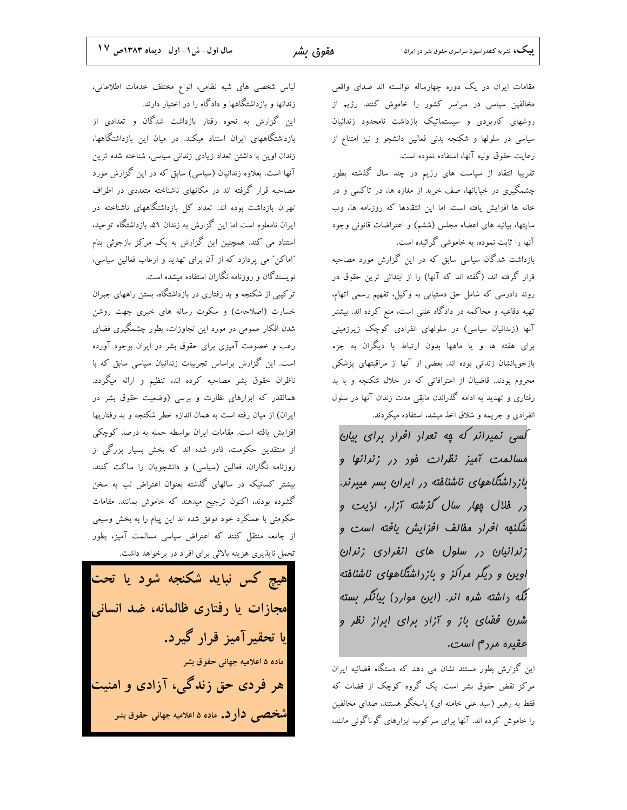مقامات ایران در یک دوره چهارساله توانسته اند صدای واقعی مخالفین سیاسی در سراسر کشور را خاموش کنند. رژیم از روشهای کاربردی و سیستماتیک بازداشت نامحدود زندانیان سیاسی در سلولها و شکنجه بدنی فعالین دانشجو و نیز امتناع از رعايت حقوق اوليه آنها، استفاده نموده است.

تقریبا انتقاد از سیاست های رژیم در چند سال گذشته بطور چشمگیری در خیابانها، صف خرید از مغازه ها، در تاکسی و در خانه ها افزایش یافته است. اما این انتقادها که روزنامه ها، وب سایتها، بیانیه های اعضاء مجلس (ششم) و اعتراضات قانونی وجود آنها را ثابت نموده، به خاموشی گرائیده است.

بازداشت شدگان سیاسی سابق که در این گزارش مورد مصاحبه قرار گرفته اند، (گفته اند که آنها) را از ابتدائی ترین حقوق در روند دادرسی که شامل حق دستیابی به وکیل، تفهیم رسمی اتهام، تهیه دفاعیه و محاکمه در دادگاه علنی است، منع کرده اند. بیشتر آنها (زندانیان سیاسی) در سلولهای انفرادی کوچک زیرزمینی برای هفته ها و یا ماهها بدون ارتباط با دیگران به جزء بازجویانشان زندانی بوده اند. بعضی از آنها از مراقبتهای پزشکی محروم بودند. قاضیان از اعترافاتی که در خلال شکنجه و با بد رفتاری و تهدید به ادامه گذراندن مابقی مدت زندان آنها در سلول انفرادی و جریمه و شلاق اخذ میشد، استفاده میکردند.

کسی نمیرانر که یه تعرار افرار برای بیان مس*المت آمیز نظرات فو*ر در *زنرانها و* بازراشتگاههای ناشنافته در ایران بسر میبرند. <sub>د</sub>ر فلال م*وار سال گذشته آزار، ا*زیت و شكنبه افراد مفالف افزايش يافته است و زنرانیان <sub>در</sub> سلول های انفراری زنران اوین و دیگر مراکز و بازداشتگاههای ناشنافته نگه راشته شره انر. (این موارر) بیانگر بسته شرن فضای باز و آزاد برای ایراز نظر و عقیرہ مرر<sup>م</sup> است.

این گزارش بطور مستند نشان می دهد که دستگاه قضائیه ایران مرکز نقض حقوق بشر است. یک گروه کوچک از قضات که فقط به رهبر (سید علی خامنه ای) یاسخگو هستند، صدای مخالفین را خاموش کرده اند. آنها برای سرکوب ابزارهای گوناگونی مانند،

لباس شخصی های شبه نظامی، انواع مختلف خدمات اطلاعاتی، زندانها و بازداشتگاهها و دادگاه را در اختیار دارند. این گزارش به نحوه رفتار بازداشت شدگان و تعدادی از بازداشتگاههای ایران استناد میکند. در میان این بازداشتگاهها،

زندان اوین با داشتن تعداد زیادی زندانی سیاسی، شناخته شده ترین آنها است. بعلاوه زندانیان (سیاسی) سابق که در این گزارش مورد مصاحبه قرار گرفته اند در مکانهای ناشناخته متعددی در اطراف تهران بازداشت بوده اند. تعداد کل بازداشتگاههای ناشناخته در ایران نامعلوم است اما این گزارش به زندان ۵۹، بازداشتگاه توحید، استناد می کند. همچنین این گزارش به یک مرکز بازجوئی بنام "اماکن" می پردازد که از آن برای تهدید و ارعاب فعالین سیاسی، نویسندگان و روزنامه نگاران استفاده میشده است.

ترکیبی از شکنجه و بد رفتاری در بازداشتگاه، بستن راههای جبران خسارت (اصلاحات) و سکوت رسانه های خبری جهت روشن شدن افکار عمومی در مورد این تجاوزات، بطور چشمگیری فضای رعب و خصومت آمیزی برای حقوق بشر در ایران بوجود آورده است. این گزارش براساس تجربیات زندانیان سیاسی سابق که با ناظران حقوق بشر مصاحبه كرده اند، تنظيم و ارائه ميگردد. همانقدر که ابزارهای نظارت و برسی (وضعیت حقوق بشر در ایران) از میان رفته است به همان اندازه خطر شکنجه و بد رفتاریها افزایش یافته است. مقامات ایران بواسطه حمله به درصد کوچکی از منتقدین حکومت، قادر شده اند که بخش بسیار بزرگی از روزنامه نگاران، فعالین (سیاسی) و دانشجویان را ساکت کنند. بیشتر کسانیکه در سالهای گذشته بعنوان اعتراض لب به سخن گشوده بودند، اکنون ترجیح میدهند که خاموش بمانند. مقامات حکومتی با عملکرد خود موفق شده اند این پیام را به بخش وسیعی از جامعه منتقل کنند که اعتراض سیاسی مسالمت آمیز، بطور تحمل ناپذیری هزینه بالائی برای افراد در برخواهد داشت.

<mark>هیچ کس نباید شکنجه شود یا تحت</mark> مجازات یا رفتاری ظالمانه، ضد انسانی یا تحقیر آمیز قرار گیرد. ماده ۵ اعلامیه جهانی حقوق بشر هر فردی حق زندگی، آزادی و امنیت **شخص**بی **دارد.** ماده ۵ اعلامیه جهانی حقوق بشر